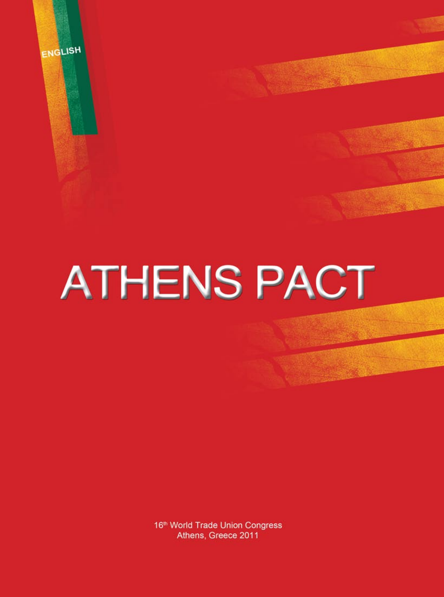# **ATHENS PACT**

ENGLISH

16<sup>th</sup> World Trade Union Congress Athens, Greece 2011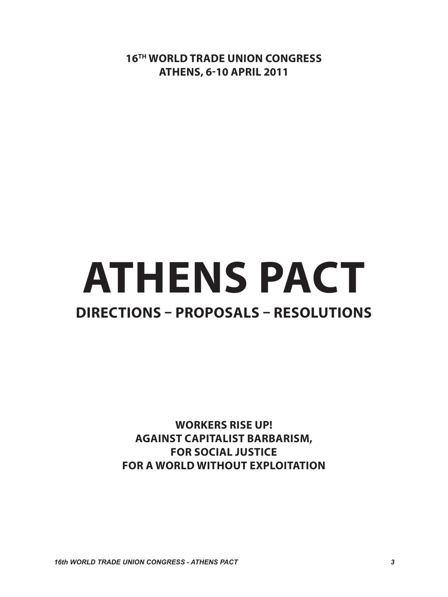**16TH WORLD TRADE UNION CONGRESS Athens, 6-10 April 2011** 

## **ATHENS PACT DIRECTIONS – PROPOSALS – RESOLUTIONS**

**Workers Rise Up! Against capitalist barbarism, For social justice For a world without exploitation**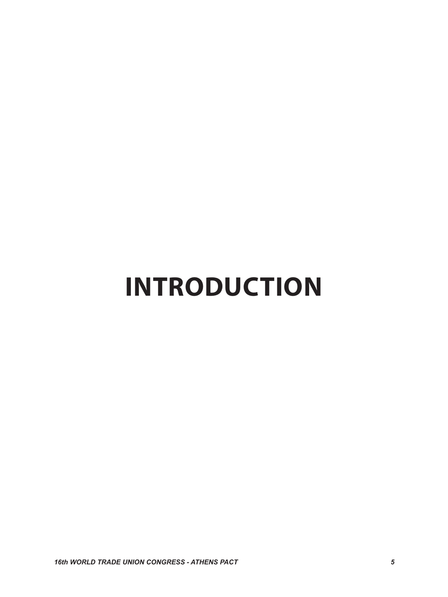### **INTRODUCTION**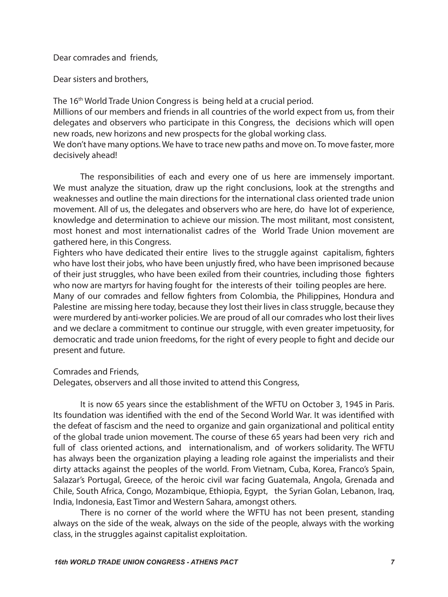Dear comrades and friends,

Dear sisters and brothers,

The 16<sup>th</sup> World Trade Union Congress is being held at a crucial period. Millions of our members and friends in all countries of the world expect from us, from their delegates and observers who participate in this Congress, the decisions which will open new roads, new horizons and new prospects for the global working class. We don't have many options. We have to trace new paths and move on. To move faster, more

decisively ahead!

The responsibilities of each and every one of us here are immensely important. We must analyze the situation, draw up the right conclusions, look at the strengths and weaknesses and outline the main directions for the international class oriented trade union movement. All of us, the delegates and observers who are here, do have lot of experience, knowledge and determination to achieve our mission. The most militant, most consistent, most honest and most internationalist cadres of the World Trade Union movement are gathered here, in this Congress.

Fighters who have dedicated their entire lives to the struggle against capitalism, fighters who have lost their jobs, who have been unjustly fired, who have been imprisoned because of their just struggles, who have been exiled from their countries, including those fighters who now are martyrs for having fought for the interests of their toiling peoples are here.

Many of our comrades and fellow fighters from Colombia, the Philippines, Hondura and Palestine are missing here today, because they lost their lives in class struggle, because they were murdered by anti-worker policies. We are proud of all our comrades who lost their lives and we declare a commitment to continue our struggle, with even greater impetuosity, for democratic and trade union freedoms, for the right of every people to fight and decide our present and future.

#### Comrades and Friends,

Delegates, observers and all those invited to attend this Congress,

It is now 65 years since the establishment of the WFTU on October 3, 1945 in Paris. Its foundation was identified with the end of the Second World War. It was identified with the defeat of fascism and the need to organize and gain organizational and political entity of the global trade union movement. The course of these 65 years had been very rich and full of class oriented actions, and internationalism, and of workers solidarity. The WFTU has always been the organization playing a leading role against the imperialists and their dirty attacks against the peoples of the world. From Vietnam, Cuba, Korea, Franco's Spain, Salazar's Portugal, Greece, of the heroic civil war facing Guatemala, Angola, Grenada and Chile, South Africa, Congo, Mozambique, Ethiopia, Egypt, the Syrian Golan, Lebanon, Iraq, India, Indonesia, East Timor and Western Sahara, amongst others.

There is no corner of the world where the WFTU has not been present, standing always on the side of the weak, always on the side of the people, always with the working class, in the struggles against capitalist exploitation.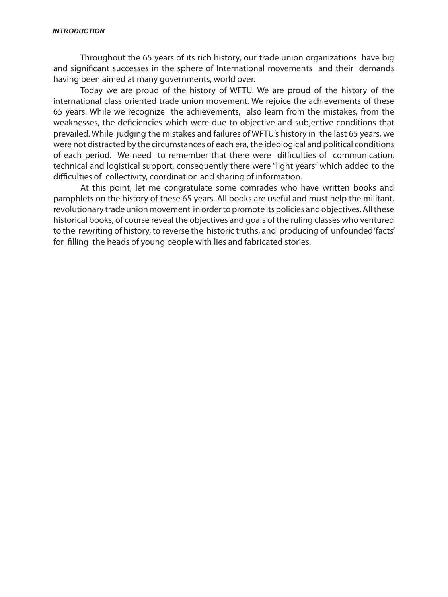Throughout the 65 years of its rich history, our trade union organizations have big and significant successes in the sphere of International movements and their demands having been aimed at many governments, world over.

Today we are proud of the history of WFTU. We are proud of the history of the international class oriented trade union movement. We rejoice the achievements of these 65 years. While we recognize the achievements, also learn from the mistakes, from the weaknesses, the deficiencies which were due to objective and subjective conditions that prevailed. While judging the mistakes and failures of WFTU's history in the last 65 years, we were not distracted by the circumstances of each era, the ideological and political conditions of each period. We need to remember that there were difficulties of communication, technical and logistical support, consequently there were "light years" which added to the difficulties of collectivity, coordination and sharing of information.

At this point, let me congratulate some comrades who have written books and pamphlets on the history of these 65 years. All books are useful and must help the militant, revolutionary trade union movement in order to promote its policies and objectives. All these historical books, of course reveal the objectives and goals of the ruling classes who ventured to the rewriting of history, to reverse the historic truths, and producing of unfounded 'facts' for filling the heads of young people with lies and fabricated stories.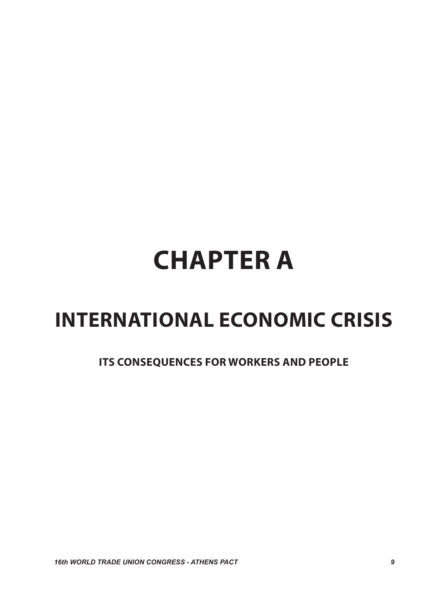# **CHAPTER A**

### **INTERNATIONAL ECONOMIC CRISIS**

#### **Its consequences for workers and people**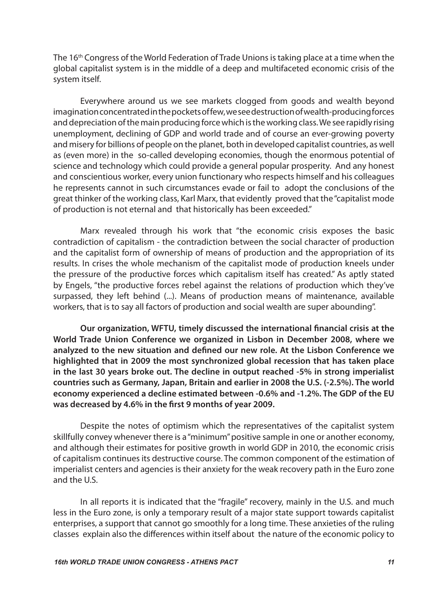The 16<sup>th</sup> Congress of the World Federation of Trade Unions is taking place at a time when the global capitalist system is in the middle of a deep and multifaceted economic crisis of the system itself.

Everywhere around us we see markets clogged from goods and wealth beyond imagination concentrated in the pockets of few, we see destruction of wealth-producing forces and depreciation of the main producing force which is the working class. We see rapidly rising unemployment, declining of GDP and world trade and of course an ever-growing poverty and misery for billions of people on the planet, both in developed capitalist countries, as well as (even more) in the so-called developing economies, though the enormous potential of science and technology which could provide a general popular prosperity. And any honest and conscientious worker, every union functionary who respects himself and his colleagues he represents cannot in such circumstances evade or fail to adopt the conclusions of the great thinker of the working class, Karl Marx, that evidently proved that the "capitalist mode of production is not eternal and that historically has been exceeded."

Marx revealed through his work that "the economic crisis exposes the basic contradiction of capitalism - the contradiction between the social character of production and the capitalist form of ownership of means of production and the appropriation of its results. In crises the whole mechanism of the capitalist mode of production kneels under the pressure of the productive forces which capitalism itself has created." As aptly stated by Engels, "the productive forces rebel against the relations of production which they've surpassed, they left behind (...). Means of production means of maintenance, available workers, that is to say all factors of production and social wealth are super abounding".

**Our organization, WFTU, timely discussed the international financial crisis at the World Trade Union Conference we organized in Lisbon in December 2008, where we analyzed to the new situation and defined our new role. At the Lisbon Conference we highlighted that in 2009 the most synchronized global recession that has taken place in the last 30 years broke out. The decline in output reached -5% in strong imperialist countries such as Germany, Japan, Britain and earlier in 2008 the U.S. (-2.5%). The world economy experienced a decline estimated between -0.6% and -1.2%. The GDP of the EU was decreased by 4.6% in the first 9 months of year 2009.** 

Despite the notes of optimism which the representatives of the capitalist system skillfully convey whenever there is a "minimum" positive sample in one or another economy, and although their estimates for positive growth in world GDP in 2010, the economic crisis of capitalism continues its destructive course. The common component of the estimation of imperialist centers and agencies is their anxiety for the weak recovery path in the Euro zone and the U.S.

In all reports it is indicated that the "fragile" recovery, mainly in the U.S. and much less in the Euro zone, is only a temporary result of a major state support towards capitalist enterprises, a support that cannot go smoothly for a long time. These anxieties of the ruling classes explain also the differences within itself about the nature of the economic policy to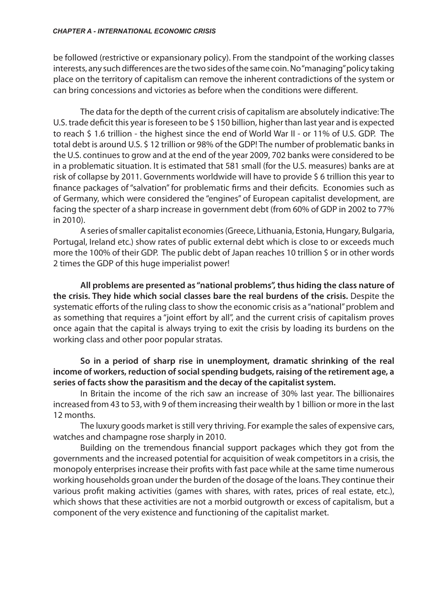be followed (restrictive or expansionary policy). From the standpoint of the working classes interests, any such differences are the two sides of the same coin. No "managing" policy taking place on the territory of capitalism can remove the inherent contradictions of the system or can bring concessions and victories as before when the conditions were different.

The data for the depth of the current crisis of capitalism are absolutely indicative: The U.S. trade deficit this year is foreseen to be \$ 150 billion, higher than last year and is expected to reach \$ 1.6 trillion - the highest since the end of World War II - or 11% of U.S. GDP. The total debt is around U.S. \$ 12 trillion or 98% of the GDP! The number of problematic banks in the U.S. continues to grow and at the end of the year 2009, 702 banks were considered to be in a problematic situation. It is estimated that 581 small (for the U.S. measures) banks are at risk of collapse by 2011. Governments worldwide will have to provide \$6 trillion this year to finance packages of "salvation" for problematic firms and their deficits. Economies such as of Germany, which were considered the "engines" of European capitalist development, are facing the specter of a sharp increase in government debt (from 60% of GDP in 2002 to 77% in 2010).

A series of smaller capitalist economies (Greece, Lithuania, Estonia, Hungary, Bulgaria, Portugal, Ireland etc.) show rates of public external debt which is close to or exceeds much more the 100% of their GDP. The public debt of Japan reaches 10 trillion \$ or in other words 2 times the GDP of this huge imperialist power!

**All problems are presented as "national problems", thus hiding the class nature of the crisis. They hide which social classes bare the real burdens of the crisis.** Despite the systematic efforts of the ruling class to show the economic crisis as a "national" problem and as something that requires a "joint effort by all", and the current crisis of capitalism proves once again that the capital is always trying to exit the crisis by loading its burdens on the working class and other poor popular stratas.

#### **So in a period of sharp rise in unemployment, dramatic shrinking of the real income of workers, reduction of social spending budgets, raising of the retirement age, a series of facts show the parasitism and the decay of the capitalist system.**

In Britain the income of the rich saw an increase of 30% last year. The billionaires increased from 43 to 53, with 9 of them increasing their wealth by 1 billion or more in the last 12 months.

The luxury goods market is still very thriving. For example the sales of expensive cars, watches and champagne rose sharply in 2010.

Building on the tremendous financial support packages which they got from the governments and the increased potential for acquisition of weak competitors in a crisis, the monopoly enterprises increase their profits with fast pace while at the same time numerous working households groan under the burden of the dosage of the loans. They continue their various profit making activities (games with shares, with rates, prices of real estate, etc.), which shows that these activities are not a morbid outgrowth or excess of capitalism, but a component of the very existence and functioning of the capitalist market.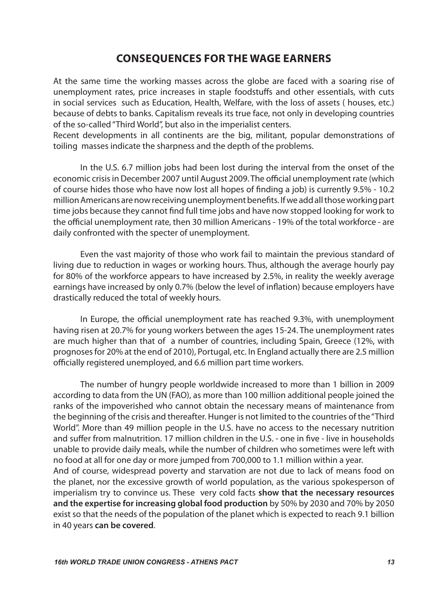#### **CONSEQUENCES FOR THE WAGE EARNERS**

At the same time the working masses across the globe are faced with a soaring rise of unemployment rates, price increases in staple foodstuffs and other essentials, with cuts in social services such as Education, Health, Welfare, with the loss of assets ( houses, etc.) because of debts to banks. Capitalism reveals its true face, not only in developing countries of the so-called "Third World", but also in the imperialist centers.

Recent developments in all continents are the big, militant, popular demonstrations of toiling masses indicate the sharpness and the depth of the problems.

In the U.S. 6.7 million jobs had been lost during the interval from the onset of the economic crisis in December 2007 until August 2009. The official unemployment rate (which of course hides those who have now lost all hopes of finding a job) is currently 9.5% - 10.2 million Americans are now receiving unemployment benefits. If we add all those working part time jobs because they cannot find full time jobs and have now stopped looking for work to the official unemployment rate, then 30 million Americans - 19% of the total workforce - are daily confronted with the specter of unemployment.

Even the vast majority of those who work fail to maintain the previous standard of living due to reduction in wages or working hours. Thus, although the average hourly pay for 80% of the workforce appears to have increased by 2.5%, in reality the weekly average earnings have increased by only 0.7% (below the level of inflation) because employers have drastically reduced the total of weekly hours.

In Europe, the official unemployment rate has reached 9.3%, with unemployment having risen at 20.7% for young workers between the ages 15-24. The unemployment rates are much higher than that of a number of countries, including Spain, Greece (12%, with prognoses for 20% at the end of 2010), Portugal, etc. In England actually there are 2.5 million officially registered unemployed, and 6.6 million part time workers.

The number of hungry people worldwide increased to more than 1 billion in 2009 according to data from the UN (FAO), as more than 100 million additional people joined the ranks of the impoverished who cannot obtain the necessary means of maintenance from the beginning of the crisis and thereafter. Hunger is not limited to the countries of the "Third World". More than 49 million people in the U.S. have no access to the necessary nutrition and suffer from malnutrition. 17 million children in the U.S. - one in five - live in households unable to provide daily meals, while the number of children who sometimes were left with no food at all for one day or more jumped from 700,000 to 1.1 million within a year.

And of course, widespread poverty and starvation are not due to lack of means food on the planet, nor the excessive growth of world population, as the various spokesperson of imperialism try to convince us. These very cold facts **show that the necessary resources and the expertise for increasing global food production** by 50% by 2030 and 70% by 2050 exist so that the needs of the population of the planet which is expected to reach 9.1 billion in 40 years **can be covered**.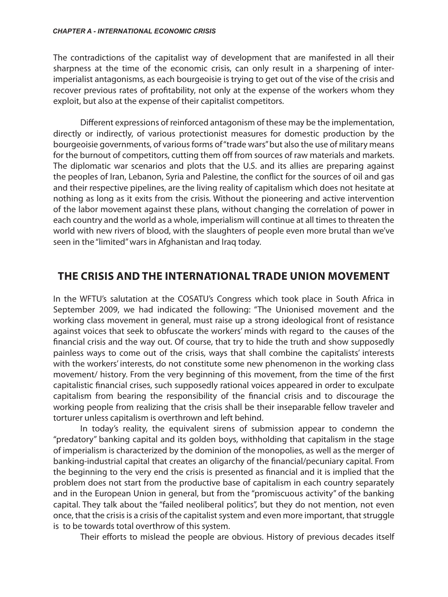#### *Chapter A - International Economic Crisis*

The contradictions of the capitalist way of development that are manifested in all their sharpness at the time of the economic crisis, can only result in a sharpening of interimperialist antagonisms, as each bourgeoisie is trying to get out of the vise of the crisis and recover previous rates of profitability, not only at the expense of the workers whom they exploit, but also at the expense of their capitalist competitors.

Different expressions of reinforced antagonism of these may be the implementation, directly or indirectly, of various protectionist measures for domestic production by the bourgeoisie governments, of various forms of "trade wars" but also the use of military means for the burnout of competitors, cutting them off from sources of raw materials and markets. The diplomatic war scenarios and plots that the U.S. and its allies are preparing against the peoples of Iran, Lebanon, Syria and Palestine, the conflict for the sources of oil and gas and their respective pipelines, are the living reality of capitalism which does not hesitate at nothing as long as it exits from the crisis. Without the pioneering and active intervention of the labor movement against these plans, without changing the correlation of power in each country and the world as a whole, imperialism will continue at all times to threaten the world with new rivers of blood, with the slaughters of people even more brutal than we've seen in the "limited" wars in Afghanistan and Iraq today.

#### **THE CRISIS AND THE INTERNATIONAL TRADE UNION MOVEMENT**

In the WFTU's salutation at the COSATU's Congress which took place in South Africa in September 2009, we had indicated the following: "The Unionised movement and the working class movement in general, must raise up a strong ideological front of resistance against voices that seek to obfuscate the workers' minds with regard to the causes of the financial crisis and the way out. Of course, that try to hide the truth and show supposedly painless ways to come out of the crisis, ways that shall combine the capitalists' interests with the workers' interests, do not constitute some new phenomenon in the working class movement/ history. From the very beginning of this movement, from the time of the first capitalistic financial crises, such supposedly rational voices appeared in order to exculpate capitalism from bearing the responsibility of the financial crisis and to discourage the working people from realizing that the crisis shall be their inseparable fellow traveler and torturer unless capitalism is overthrown and left behind.

In today's reality, the equivalent sirens of submission appear to condemn the "predatory" banking capital and its golden boys, withholding that capitalism in the stage of imperialism is characterized by the dominion of the monopolies, as well as the merger of banking-industrial capital that creates an oligarchy of the financial/pecuniary capital. From the beginning to the very end the crisis is presented as financial and it is implied that the problem does not start from the productive base of capitalism in each country separately and in the European Union in general, but from the "promiscuous activity" of the banking capital. They talk about the "failed neoliberal politics", but they do not mention, not even once, that the crisis is a crisis of the capitalist system and even more important, that struggle is to be towards total overthrow of this system.

Their efforts to mislead the people are obvious. History of previous decades itself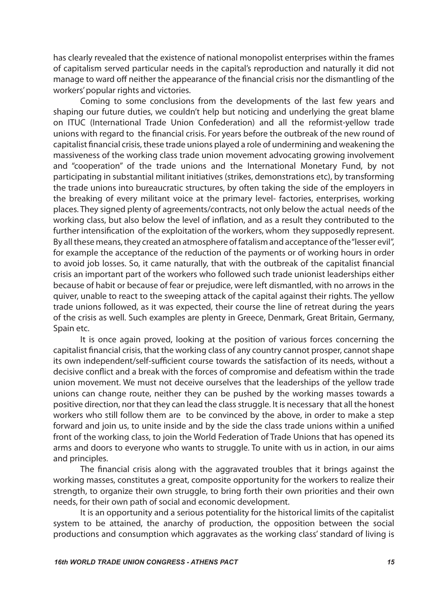has clearly revealed that the existence of national monopolist enterprises within the frames of capitalism served particular needs in the capital's reproduction and naturally it did not manage to ward off neither the appearance of the financial crisis nor the dismantling of the workers' popular rights and victories.

Coming to some conclusions from the developments of the last few years and shaping our future duties, we couldn't help but noticing and underlying the great blame on ITUC (International Trade Union Confederation) and all the reformist-yellow trade unions with regard to the financial crisis. For years before the outbreak of the new round of capitalist financial crisis, these trade unions played a role of undermining and weakening the massiveness of the working class trade union movement advocating growing involvement and "cooperation" of the trade unions and the International Monetary Fund, by not participating in substantial militant initiatives (strikes, demonstrations etc), by transforming the trade unions into bureaucratic structures, by often taking the side of the employers in the breaking of every militant voice at the primary level- factories, enterprises, working places. They signed plenty of agreements/contracts, not only below the actual needs of the working class, but also below the level of inflation, and as a result they contributed to the further intensification of the exploitation of the workers, whom they supposedly represent. By all these means, they created an atmosphere of fatalism and acceptance of the "lesser evil", for example the acceptance of the reduction of the payments or of working hours in order to avoid job losses. So, it came naturally, that with the outbreak of the capitalist financial crisis an important part of the workers who followed such trade unionist leaderships either because of habit or because of fear or prejudice, were left dismantled, with no arrows in the quiver, unable to react to the sweeping attack of the capital against their rights. The yellow trade unions followed, as it was expected, their course the line of retreat during the years of the crisis as well. Such examples are plenty in Greece, Denmark, Great Britain, Germany, Spain etc.

It is once again proved, looking at the position of various forces concerning the capitalist financial crisis, that the working class of any country cannot prosper, cannot shape its own independent/self-sufficient course towards the satisfaction of its needs, without a decisive conflict and a break with the forces of compromise and defeatism within the trade union movement. We must not deceive ourselves that the leaderships of the yellow trade unions can change route, neither they can be pushed by the working masses towards a positive direction, nor that they can lead the class struggle. It is necessary that all the honest workers who still follow them are to be convinced by the above, in order to make a step forward and join us, to unite inside and by the side the class trade unions within a unified front of the working class, to join the World Federation of Trade Unions that has opened its arms and doors to everyone who wants to struggle. To unite with us in action, in our aims and principles.

The financial crisis along with the aggravated troubles that it brings against the working masses, constitutes a great, composite opportunity for the workers to realize their strength, to organize their own struggle, to bring forth their own priorities and their own needs, for their own path of social and economic development.

It is an opportunity and a serious potentiality for the historical limits of the capitalist system to be attained, the anarchy of production, the opposition between the social productions and consumption which aggravates as the working class' standard of living is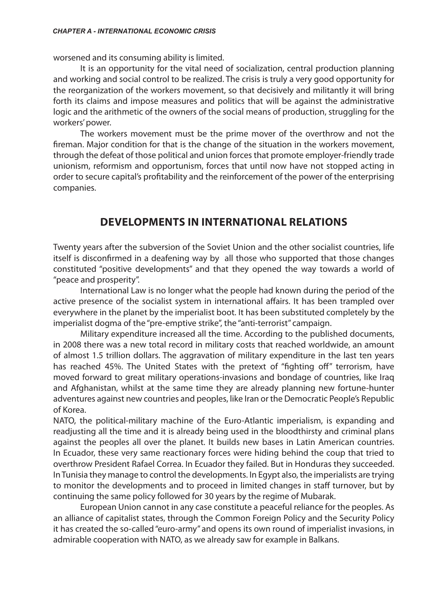#### *Chapter A - International Economic Crisis*

worsened and its consuming ability is limited.

It is an opportunity for the vital need of socialization, central production planning and working and social control to be realized. The crisis is truly a very good opportunity for the reorganization of the workers movement, so that decisively and militantly it will bring forth its claims and impose measures and politics that will be against the administrative logic and the arithmetic of the owners of the social means of production, struggling for the workers' power.

The workers movement must be the prime mover of the overthrow and not the fireman. Major condition for that is the change of the situation in the workers movement, through the defeat of those political and union forces that promote employer-friendly trade unionism, reformism and opportunism, forces that until now have not stopped acting in order to secure capital's profitability and the reinforcement of the power of the enterprising companies.

#### **DEVELOPMENTS IN INTERNATIONAL RELATIONS**

Twenty years after the subversion of the Soviet Union and the other socialist countries, life itself is disconfirmed in a deafening way by all those who supported that those changes constituted "positive developments" and that they opened the way towards a world of "peace and prosperity".

International Law is no longer what the people had known during the period of the active presence of the socialist system in international affairs. It has been trampled over everywhere in the planet by the imperialist boot. It has been substituted completely by the imperialist dogma of the "pre-emptive strike", the "anti-terrorist" campaign.

Military expenditure increased all the time. According to the published documents, in 2008 there was a new total record in military costs that reached worldwide, an amount of almost 1.5 trillion dollars. The aggravation of military expenditure in the last ten years has reached 45%. The United States with the pretext of "fighting off" terrorism, have moved forward to great military operations-invasions and bondage of countries, like Iraq and Afghanistan, whilst at the same time they are already planning new fortune-hunter adventures against new countries and peoples, like Iran or the Democratic People's Republic of Korea.

NATO, the political-military machine of the Euro-Atlantic imperialism, is expanding and readjusting all the time and it is already being used in the bloodthirsty and criminal plans against the peoples all over the planet. It builds new bases in Latin American countries. In Ecuador, these very same reactionary forces were hiding behind the coup that tried to overthrow President Rafael Correa. In Ecuador they failed. But in Honduras they succeeded. In Tunisia they manage to control the developments. In Egypt also, the imperialists are trying to monitor the developments and to proceed in limited changes in staff turnover, but by continuing the same policy followed for 30 years by the regime of Mubarak.

European Union cannot in any case constitute a peaceful reliance for the peoples. As an alliance of capitalist states, through the Common Foreign Policy and the Security Policy it has created the so-called "euro-army" and opens its own round of imperialist invasions, in admirable cooperation with NATO, as we already saw for example in Balkans.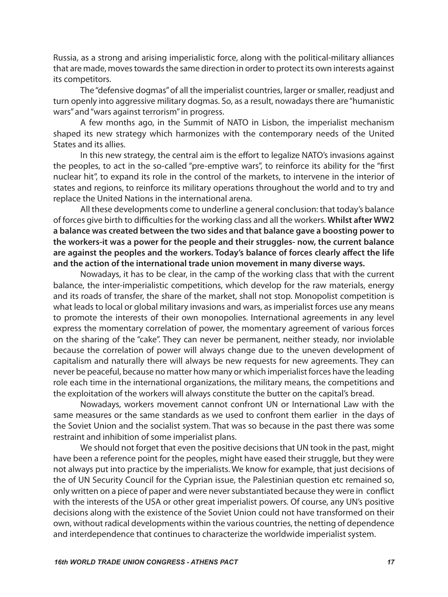Russia, as a strong and arising imperialistic force, along with the political-military alliances that are made, moves towards the same direction in order to protect its own interests against its competitors.

The "defensive dogmas" of all the imperialist countries, larger or smaller, readjust and turn openly into aggressive military dogmas. So, as a result, nowadays there are "humanistic wars" and "wars against terrorism" in progress.

A few months ago, in the Summit of NATO in Lisbon, the imperialist mechanism shaped its new strategy which harmonizes with the contemporary needs of the United States and its allies.

In this new strategy, the central aim is the effort to legalize NATO's invasions against the peoples, to act in the so-called "pre-emptive wars", to reinforce its ability for the "first nuclear hit", to expand its role in the control of the markets, to intervene in the interior of states and regions, to reinforce its military operations throughout the world and to try and replace the United Nations in the international arena.

All these developments come to underline a general conclusion: that today's balance of forces give birth to difficulties for the working class and all the workers. **Whilst after WW2 a balance was created between the two sides and that balance gave a boosting power to the workers-it was a power for the people and their struggles- now, the current balance are against the peoples and the workers. Today's balance of forces clearly affect the life and the action of the international trade union movement in many diverse ways.**

Nowadays, it has to be clear, in the camp of the working class that with the current balance, the inter-imperialistic competitions, which develop for the raw materials, energy and its roads of transfer, the share of the market, shall not stop. Monopolist competition is what leads to local or global military invasions and wars, as imperialist forces use any means to promote the interests of their own monopolies. International agreements in any level express the momentary correlation of power, the momentary agreement of various forces on the sharing of the "cake". They can never be permanent, neither steady, nor inviolable because the correlation of power will always change due to the uneven development of capitalism and naturally there will always be new requests for new agreements. They can never be peaceful, because no matter how many or which imperialist forces have the leading role each time in the international organizations, the military means, the competitions and the exploitation of the workers will always constitute the butter on the capital's bread.

Nowadays, workers movement cannot confront UN or International Law with the same measures or the same standards as we used to confront them earlier in the days of the Soviet Union and the socialist system. That was so because in the past there was some restraint and inhibition of some imperialist plans.

We should not forget that even the positive decisions that UN took in the past, might have been a reference point for the peoples, might have eased their struggle, but they were not always put into practice by the imperialists. We know for example, that just decisions of the of UN Security Council for the Cyprian issue, the Palestinian question etc remained so, only written on a piece of paper and were never substantiated because they were in conflict with the interests of the USA or other great imperialist powers. Of course, any UN's positive decisions along with the existence of the Soviet Union could not have transformed on their own, without radical developments within the various countries, the netting of dependence and interdependence that continues to characterize the worldwide imperialist system.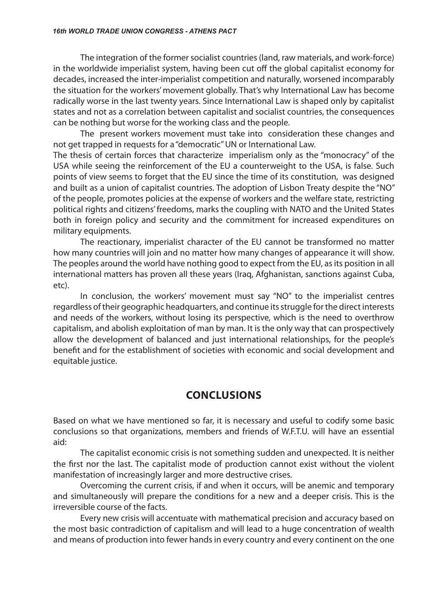The integration of the former socialist countries (land, raw materials, and work-force) in the worldwide imperialist system, having been cut off the global capitalist economy for decades, increased the inter-imperialist competition and naturally, worsened incomparably the situation for the workers' movement globally. That's why International Law has become radically worse in the last twenty years. Since International Law is shaped only by capitalist states and not as a correlation between capitalist and socialist countries, the consequences can be nothing but worse for the working class and the people.

The present workers movement must take into consideration these changes and not get trapped in requests for a "democratic" UN or International Law.

The thesis of certain forces that characterize imperialism only as the "monocracy" of the USA while seeing the reinforcement of the EU a counterweight to the USA, is false. Such points of view seems to forget that the EU since the time of its constitution, was designed and built as a union of capitalist countries. The adoption of Lisbon Treaty despite the "NO" of the people, promotes policies at the expense of workers and the welfare state, restricting political rights and citizens' freedoms, marks the coupling with NATO and the United States both in foreign policy and security and the commitment for increased expenditures on military equipments.

The reactionary, imperialist character of the EU cannot be transformed no matter how many countries will join and no matter how many changes of appearance it will show. The peoples around the world have nothing good to expect from the EU, as its position in all international matters has proven all these years (Iraq, Afghanistan, sanctions against Cuba, etc).

In conclusion, the workers' movement must say "NO" to the imperialist centres regardless of their geographic headquarters, and continue its struggle for the direct interests and needs of the workers, without losing its perspective, which is the need to overthrow capitalism, and abolish exploitation of man by man. It is the only way that can prospectively allow the development of balanced and just international relationships, for the people's benefit and for the establishment of societies with economic and social development and equitable justice.

#### **CONCLUSIONS**

Based on what we have mentioned so far, it is necessary and useful to codify some basic conclusions so that organizations, members and friends of W.F.T.U. will have an essential aid:

The capitalist economic crisis is not something sudden and unexpected. It is neither the first nor the last. The capitalist mode of production cannot exist without the violent manifestation of increasingly larger and more destructive crises.

Overcoming the current crisis, if and when it occurs, will be anemic and temporary and simultaneously will prepare the conditions for a new and a deeper crisis. This is the irreversible course of the facts.

Every new crisis will accentuate with mathematical precision and accuracy based on the most basic contradiction of capitalism and will lead to a huge concentration of wealth and means of production into fewer hands in every country and every continent on the one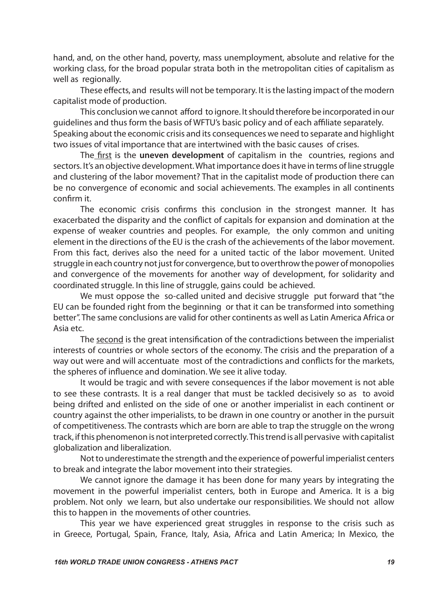hand, and, on the other hand, poverty, mass unemployment, absolute and relative for the working class, for the broad popular strata both in the metropolitan cities of capitalism as well as regionally.

These effects, and results will not be temporary. It is the lasting impact of the modern capitalist mode of production.

This conclusion we cannot afford to ignore. It should therefore be incorporated in our guidelines and thus form the basis of WFTU's basic policy and of each affiliate separately. Speaking about the economic crisis and its consequences we need to separate and highlight two issues of vital importance that are intertwined with the basic causes of crises.

The first is the **uneven development** of capitalism in the countries, regions and sectors. It's an objective development. What importance does it have in terms of line struggle and clustering of the labor movement? That in the capitalist mode of production there can be no convergence of economic and social achievements. The examples in all continents confirm it.

The economic crisis confirms this conclusion in the strongest manner. It has exacerbated the disparity and the conflict of capitals for expansion and domination at the expense of weaker countries and peoples. For example, the only common and uniting element in the directions of the EU is the crash of the achievements of the labor movement. From this fact, derives also the need for a united tactic of the labor movement. United struggle in each country not just for convergence, but to overthrow the power of monopolies and convergence of the movements for another way of development, for solidarity and coordinated struggle. In this line of struggle, gains could be achieved.

We must oppose the so-called united and decisive struggle put forward that "the EU can be founded right from the beginning or that it can be transformed into something better". The same conclusions are valid for other continents as well as Latin America Africa or Asia etc.

The second is the great intensification of the contradictions between the imperialist interests of countries or whole sectors of the economy. The crisis and the preparation of a way out were and will accentuate most of the contradictions and conflicts for the markets, the spheres of influence and domination. We see it alive today.

It would be tragic and with severe consequences if the labor movement is not able to see these contrasts. It is a real danger that must be tackled decisively so as to avoid being drifted and enlisted on the side of one or another imperialist in each continent or country against the other imperialists, to be drawn in one country or another in the pursuit of competitiveness. The contrasts which are born are able to trap the struggle on the wrong track, if this phenomenon is not interpreted correctly. This trend is all pervasive with capitalist globalization and liberalization.

Not to underestimate the strength and the experience of powerful imperialist centers to break and integrate the labor movement into their strategies.

We cannot ignore the damage it has been done for many years by integrating the movement in the powerful imperialist centers, both in Europe and America. It is a big problem. Not only we learn, but also undertake our responsibilities. We should not allow this to happen in the movements of other countries.

This year we have experienced great struggles in response to the crisis such as in Greece, Portugal, Spain, France, Italy, Asia, Africa and Latin America; In Mexico, the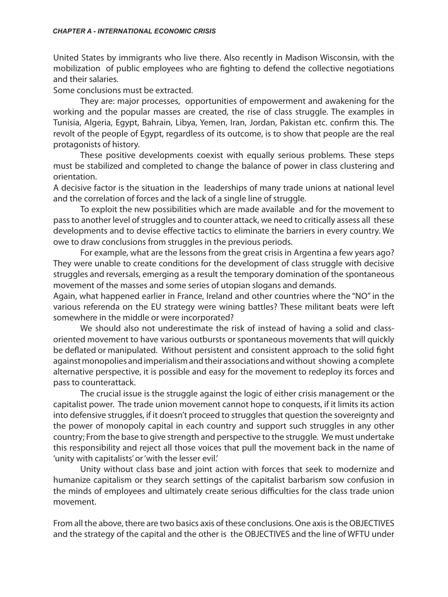#### *Chapter A - International Economic Crisis*

United States by immigrants who live there. Also recently in Madison Wisconsin, with the mobilization of public employees who are fighting to defend the collective negotiations and their salaries.

Some conclusions must be extracted.

They are: major processes, opportunities of empowerment and awakening for the working and the popular masses are created, the rise of class struggle. The examples in Tunisia, Algeria, Egypt, Bahrain, Libya, Yemen, Iran, Jordan, Pakistan etc. confirm this. The revolt of the people of Egypt, regardless of its outcome, is to show that people are the real protagonists of history.

These positive developments coexist with equally serious problems. These steps must be stabilized and completed to change the balance of power in class clustering and orientation.

A decisive factor is the situation in the leaderships of many trade unions at national level and the correlation of forces and the lack of a single line of struggle.

To exploit the new possibilities which are made available and for the movement to pass to another level of struggles and to counter attack, we need to critically assess all these developments and to devise effective tactics to eliminate the barriers in every country. We owe to draw conclusions from struggles in the previous periods.

For example, what are the lessons from the great crisis in Argentina a few years ago? They were unable to create conditions for the development of class struggle with decisive struggles and reversals, emerging as a result the temporary domination of the spontaneous movement of the masses and some series of utopian slogans and demands.

Again, what happened earlier in France, Ireland and other countries where the "NO" in the various referenda on the EU strategy were wining battles? These militant beats were left somewhere in the middle or were incorporated?

We should also not underestimate the risk of instead of having a solid and classoriented movement to have various outbursts or spontaneous movements that will quickly be deflated or manipulated. Without persistent and consistent approach to the solid fight against monopolies and imperialism and their associations and without showing a complete alternative perspective, it is possible and easy for the movement to redeploy its forces and pass to counterattack.

The crucial issue is the struggle against the logic of either crisis management or the capitalist power. The trade union movement cannot hope to conquests, if it limits its action into defensive struggles, if it doesn't proceed to struggles that question the sovereignty and the power of monopoly capital in each country and support such struggles in any other country; From the base to give strength and perspective to the struggle. We must undertake this responsibility and reject all those voices that pull the movement back in the name of 'unity with capitalists' or 'with the lesser evil.'

Unity without class base and joint action with forces that seek to modernize and humanize capitalism or they search settings of the capitalist barbarism sow confusion in the minds of employees and ultimately create serious difficulties for the class trade union movement.

From all the above, there are two basics axis of these conclusions. One axis is the OBJECTIVES and the strategy of the capital and the other is the OBJECTIVES and the line of WFTU under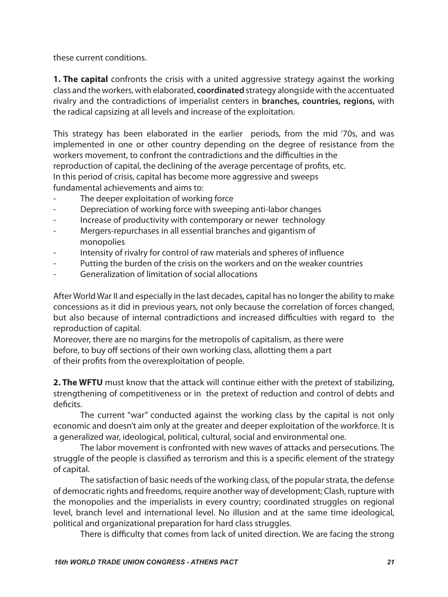these current conditions.

**1. The capital** confronts the crisis with a united aggressive strategy against the working class and the workers, with elaborated, **coordinated** strategy alongside with the accentuated rivalry and the contradictions of imperialist centers in **branches, countries, regions,** with the radical capsizing at all levels and increase of the exploitation.

This strategy has been elaborated in the earlier periods, from the mid '70s, and was implemented in one or other country depending on the degree of resistance from the workers movement, to confront the contradictions and the difficulties in the reproduction of capital, the declining of the average percentage of profits, etc. In this period of crisis, capital has become more aggressive and sweeps fundamental achievements and aims to:

- The deeper exploitation of working force
- Depreciation of working force with sweeping anti-labor changes
- Increase of productivity with contemporary or newer technology
- Mergers-repurchases in all essential branches and gigantism of monopolies
- Intensity of rivalry for control of raw materials and spheres of influence
- Putting the burden of the crisis on the workers and on the weaker countries
- Generalization of limitation of social allocations

After World War II and especially in the last decades, capital has no longer the ability to make concessions as it did in previous years, not only because the correlation of forces changed, but also because of internal contradictions and increased difficulties with regard to the reproduction of capital.

Moreover, there are no margins for the metropolis of capitalism, as there were before, to buy off sections of their own working class, allotting them a part of their profits from the overexploitation of people.

**2. The WFTU** must know that the attack will continue either with the pretext of stabilizing, strengthening of competitiveness or in the pretext of reduction and control of debts and deficits.

The current "war" conducted against the working class by the capital is not only economic and doesn't aim only at the greater and deeper exploitation of the workforce. It is a generalized war, ideological, political, cultural, social and environmental one.

The labor movement is confronted with new waves of attacks and persecutions. The struggle of the people is classified as terrorism and this is a specific element of the strategy of capital.

The satisfaction of basic needs of the working class, of the popular strata, the defense of democratic rights and freedoms, require another way of development; Clash, rupture with the monopolies and the imperialists in every country; coordinated struggles on regional level, branch level and international level. No illusion and at the same time ideological, political and organizational preparation for hard class struggles.

There is difficulty that comes from lack of united direction. We are facing the strong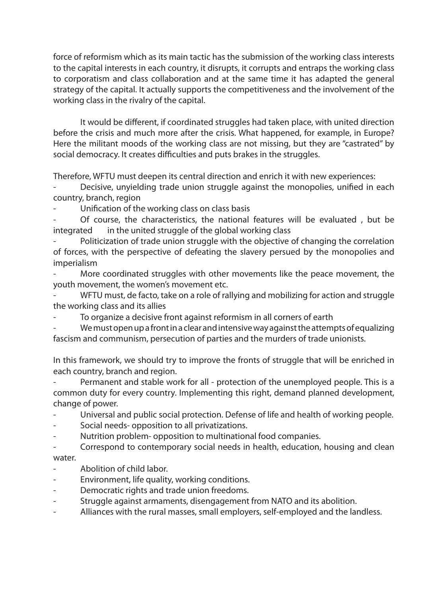force of reformism which as its main tactic has the submission of the working class interests to the capital interests in each country, it disrupts, it corrupts and entraps the working class to corporatism and class collaboration and at the same time it has adapted the general strategy of the capital. It actually supports the competitiveness and the involvement of the working class in the rivalry of the capital.

It would be different, if coordinated struggles had taken place, with united direction before the crisis and much more after the crisis. What happened, for example, in Europe? Here the militant moods of the working class are not missing, but they are "castrated" by social democracy. It creates difficulties and puts brakes in the struggles.

Therefore, WFTU must deepen its central direction and enrich it with new experiences:

Decisive, unyielding trade union struggle against the monopolies, unified in each country, branch, region

Unification of the working class on class basis

Of course, the characteristics, the national features will be evaluated, but be integrated in the united struggle of the global working class

Politicization of trade union struggle with the objective of changing the correlation of forces, with the perspective of defeating the slavery persued by the monopolies and imperialism

More coordinated struggles with other movements like the peace movement, the youth movement, the women's movement etc.

WFTU must, de facto, take on a role of rallying and mobilizing for action and struggle the working class and its allies

To organize a decisive front against reformism in all corners of earth

We must open up a front in a clear and intensive way against the attempts of equalizing fascism and communism, persecution of parties and the murders of trade unionists.

In this framework, we should try to improve the fronts of struggle that will be enriched in each country, branch and region.

Permanent and stable work for all - protection of the unemployed people. This is a common duty for every country. Implementing this right, demand planned development, change of power.

- Universal and public social protection. Defense of life and health of working people.
- Social needs- opposition to all privatizations.
- Nutrition problem- opposition to multinational food companies.
- Correspond to contemporary social needs in health, education, housing and clean water.
- Abolition of child labor.
- Environment, life quality, working conditions.
- Democratic rights and trade union freedoms.
- Struggle against armaments, disengagement from NATO and its abolition.
- Alliances with the rural masses, small employers, self-employed and the landless.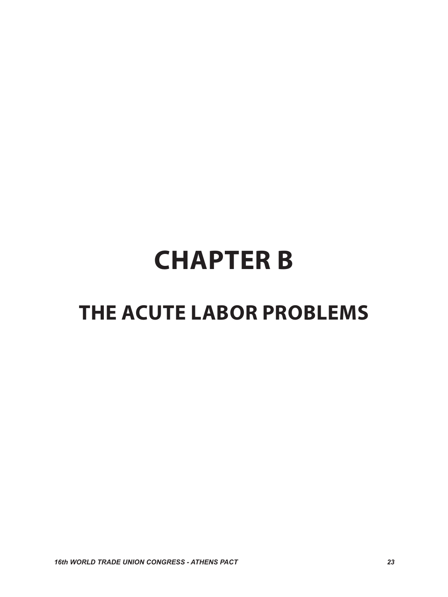## **CHAPTER B**

### **THE ACUTE LABOR PROBLEMS**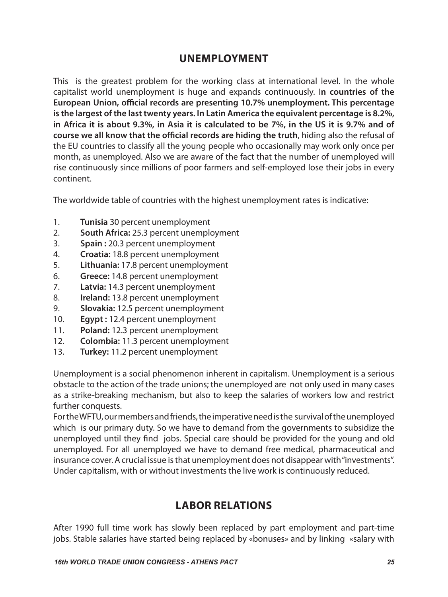#### **Unemployment**

This is the greatest problem for the working class at international level. In the whole capitalist world unemployment is huge and expands continuously. I**n countries of the European Union, official records are presenting 10.7% unemployment. This percentage is the largest of the last twenty years. In Latin America the equivalent percentage is 8.2%, in Africa it is about 9.3%, in Asia it is calculated to be 7%, in the US it is 9.7% and of course we all know that the official records are hiding the truth**, hiding also the refusal of the EU countries to classify all the young people who occasionally may work only once per month, as unemployed. Also we are aware of the fact that the number of unemployed will rise continuously since millions of poor farmers and self-employed lose their jobs in every continent.

The worldwide table of countries with the highest unemployment rates is indicative:

- 1. **Tunisia** 30 percent unemployment
- 2. **South Africa:** 25.3 percent unemployment
- 3. **Spain :** 20.3 percent unemployment
- 4. **Croatia:** 18.8 percent unemployment
- 5. **Lithuania:** 17.8 percent unemployment
- 6. **Greece:** 14.8 percent unemployment
- 7. **Latvia:** 14.3 percent unemployment
- 8. **Ireland:** 13.8 percent unemployment
- 9. **Slovakia:** 12.5 percent unemployment
- 10. **Egypt :** 12.4 percent unemployment
- 11. **Poland:** 12.3 percent unemployment
- 12. **Colombia:** 11.3 percent unemployment
- 13. **Turkey:** 11.2 percent unemployment

Unemployment is a social phenomenon inherent in capitalism. Unemployment is a serious obstacle to the action of the trade unions; the unemployed are not only used in many cases as a strike-breaking mechanism, but also to keep the salaries of workers low and restrict further conquests.

For the WFTU, our members and friends, the imperative need is the survival of the unemployed which is our primary duty. So we have to demand from the governments to subsidize the unemployed until they find jobs. Special care should be provided for the young and old unemployed. For all unemployed we have to demand free medical, pharmaceutical and insurance cover. A crucial issue is that unemployment does not disappear with "investments". Under capitalism, with or without investments the live work is continuously reduced.

#### **Labor Relations**

After 1990 full time work has slowly been replaced by part employment and part-time jobs. Stable salaries have started being replaced by «bonuses» and by linking «salary with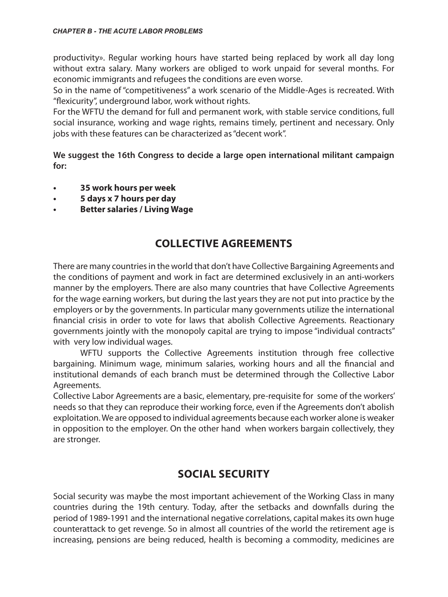#### *Chapter B - The Acute Labor Problems*

productivity». Regular working hours have started being replaced by work all day long without extra salary. Many workers are obliged to work unpaid for several months. For economic immigrants and refugees the conditions are even worse.

So in the name of "competitiveness" a work scenario of the Middle-Ages is recreated. With "flexicurity", underground labor, work without rights.

For the WFTU the demand for full and permanent work, with stable service conditions, full social insurance, working and wage rights, remains timely, pertinent and necessary. Only jobs with these features can be characterized as "decent work".

**We suggest the 16th Congress to decide a large open international militant campaign for:**

- **• 35 work hours per week**
- **• 5 days x 7 hours per day**
- **• Better salaries / Living Wage**

#### **Collective Agreements**

There are many countries in the world that don't have Collective Bargaining Agreements and the conditions of payment and work in fact are determined exclusively in an anti-workers manner by the employers. There are also many countries that have Collective Agreements for the wage earning workers, but during the last years they are not put into practice by the employers or by the governments. In particular many governments utilize the international financial crisis in order to vote for laws that abolish Collective Agreements. Reactionary governments jointly with the monopoly capital are trying to impose "individual contracts" with very low individual wages.

WFTU supports the Collective Agreements institution through free collective bargaining. Minimum wage, minimum salaries, working hours and all the financial and institutional demands of each branch must be determined through the Collective Labor Agreements.

Collective Labor Agreements are a basic, elementary, pre-requisite for some of the workers' needs so that they can reproduce their working force, even if the Agreements don't abolish exploitation. We are opposed to individual agreements because each worker alone is weaker in opposition to the employer. On the other hand when workers bargain collectively, they are stronger.

#### **Social Security**

Social security was maybe the most important achievement of the Working Class in many countries during the 19th century. Today, after the setbacks and downfalls during the period of 1989-1991 and the international negative correlations, capital makes its own huge counterattack to get revenge. So in almost all countries of the world the retirement age is increasing, pensions are being reduced, health is becoming a commodity, medicines are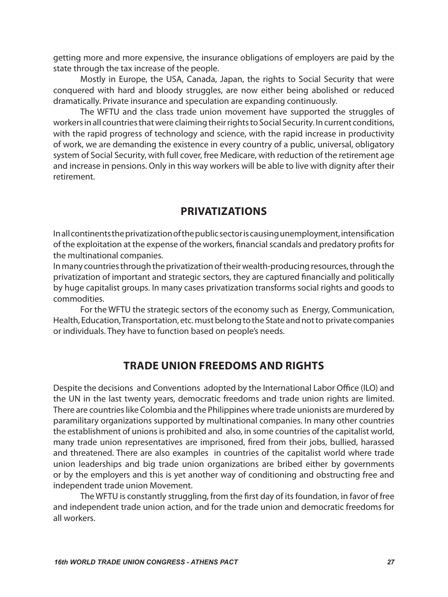getting more and more expensive, the insurance obligations of employers are paid by the state through the tax increase of the people.

Mostly in Europe, the USA, Canada, Japan, the rights to Social Security that were conquered with hard and bloody struggles, are now either being abolished or reduced dramatically. Private insurance and speculation are expanding continuously.

The WFTU and the class trade union movement have supported the struggles of workers in all countries that were claiming their rights to Social Security. In current conditions, with the rapid progress of technology and science, with the rapid increase in productivity of work, we are demanding the existence in every country of a public, universal, obligatory system of Social Security, with full cover, free Medicare, with reduction of the retirement age and increase in pensions. Only in this way workers will be able to live with dignity after their retirement.

#### **Privatizations**

In all continents the privatization of the public sector is causing unemployment, intensification of the exploitation at the expense of the workers, financial scandals and predatory profits for the multinational companies.

In many countries through the privatization of their wealth-producing resources, through the privatization of important and strategic sectors, they are captured financially and politically by huge capitalist groups. In many cases privatization transforms social rights and goods to commodities.

For the WFTU the strategic sectors of the economy such as Energy, Communication, Health, Education, Transportation, etc. must belong to the State and not to private companies or individuals. They have to function based on people's needs.

#### **Trade Union Freedoms and Rights**

Despite the decisions and Conventions adopted by the International Labor Office (ILO) and the UN in the last twenty years, democratic freedoms and trade union rights are limited. There are countries like Colombia and the Philippines where trade unionists are murdered by paramilitary organizations supported by multinational companies. In many other countries the establishment of unions is prohibited and also, in some countries of the capitalist world, many trade union representatives are imprisoned, fired from their jobs, bullied, harassed and threatened. There are also examples in countries of the capitalist world where trade union leaderships and big trade union organizations are bribed either by governments or by the employers and this is yet another way of conditioning and obstructing free and independent trade union Movement.

The WFTU is constantly struggling, from the first day of its foundation, in favor of free and independent trade union action, and for the trade union and democratic freedoms for all workers.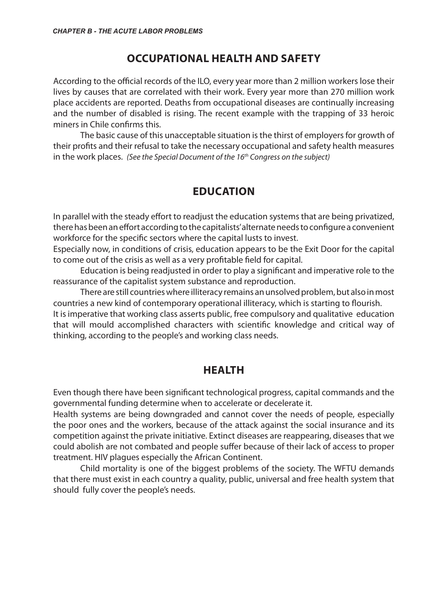#### **Occupational Health and Safety**

According to the official records of the ILO, every year more than 2 million workers lose their lives by causes that are correlated with their work. Every year more than 270 million work place accidents are reported. Deaths from occupational diseases are continually increasing and the number of disabled is rising. The recent example with the trapping of 33 heroic miners in Chile confirms this.

The basic cause of this unacceptable situation is the thirst of employers for growth of their profits and their refusal to take the necessary occupational and safety health measures in the work places. *(See the Special Document of the 16th Congress on the subject)*

#### **Education**

In parallel with the steady effort to readjust the education systems that are being privatized, there has been an effort according to the capitalists' alternate needs to configure a convenient workforce for the specific sectors where the capital lusts to invest.

Especially now, in conditions of crisis, education appears to be the Exit Door for the capital to come out of the crisis as well as a very profitable field for capital.

Education is being readjusted in order to play a significant and imperative role to the reassurance of the capitalist system substance and reproduction.

There are still countries where illiteracy remains an unsolved problem, but also in most countries a new kind of contemporary operational illiteracy, which is starting to flourish. It is imperative that working class asserts public, free compulsory and qualitative education that will mould accomplished characters with scientific knowledge and critical way of thinking, according to the people's and working class needs.

#### **Health**

Even though there have been significant technological progress, capital commands and the governmental funding determine when to accelerate or decelerate it.

Health systems are being downgraded and cannot cover the needs of people, especially the poor ones and the workers, because of the attack against the social insurance and its competition against the private initiative. Extinct diseases are reappearing, diseases that we could abolish are not combated and people suffer because of their lack of access to proper treatment. HIV plagues especially the African Continent.

Child mortality is one of the biggest problems of the society. The WFTU demands that there must exist in each country a quality, public, universal and free health system that should fully cover the people's needs.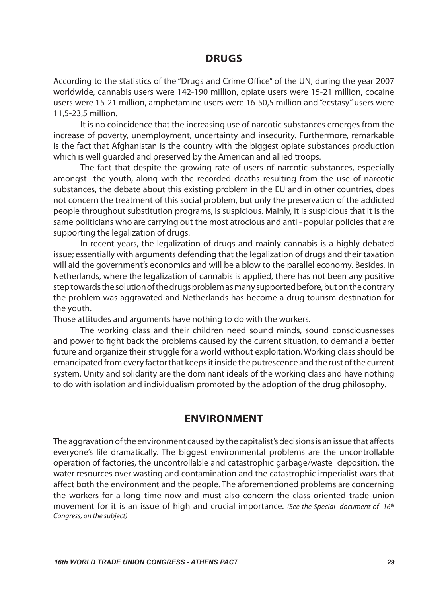#### **Drugs**

According to the statistics of the "Drugs and Crime Office" of the UN, during the year 2007 worldwide, cannabis users were 142-190 million, opiate users were 15-21 million, cocaine users were 15-21 million, amphetamine users were 16-50,5 million and "ecstasy" users were 11,5-23,5 million.

It is no coincidence that the increasing use of narcotic substances emerges from the increase of poverty, unemployment, uncertainty and insecurity. Furthermore, remarkable is the fact that Afghanistan is the country with the biggest opiate substances production which is well guarded and preserved by the American and allied troops.

The fact that despite the growing rate of users of narcotic substances, especially amongst the youth, along with the recorded deaths resulting from the use of narcotic substances, the debate about this existing problem in the EU and in other countries, does not concern the treatment of this social problem, but only the preservation of the addicted people throughout substitution programs, is suspicious. Mainly, it is suspicious that it is the same politicians who are carrying out the most atrocious and anti - popular policies that are supporting the legalization of drugs.

In recent years, the legalization of drugs and mainly cannabis is a highly debated issue; essentially with arguments defending that the legalization of drugs and their taxation will aid the government's economics and will be a blow to the parallel economy. Besides, in Netherlands, where the legalization of cannabis is applied, there has not been any positive step towards the solution of the drugs problem as many supported before, but on the contrary the problem was aggravated and Netherlands has become a drug tourism destination for the youth.

Those attitudes and arguments have nothing to do with the workers.

The working class and their children need sound minds, sound consciousnesses and power to fight back the problems caused by the current situation, to demand a better future and organize their struggle for a world without exploitation. Working class should be emancipated from every factor that keeps it inside the putrescence and the rust of the current system. Unity and solidarity are the dominant ideals of the working class and have nothing to do with isolation and individualism promoted by the adoption of the drug philosophy.

#### **Environment**

The aggravation of the environment caused by the capitalist's decisions is an issue that affects everyone's life dramatically. The biggest environmental problems are the uncontrollable operation of factories, the uncontrollable and catastrophic garbage/waste deposition, the water resources over wasting and contamination and the catastrophic imperialist wars that affect both the environment and the people. The aforementioned problems are concerning the workers for a long time now and must also concern the class oriented trade union movement for it is an issue of high and crucial importance. *(See the Special document of 16th Congress, on the subject)*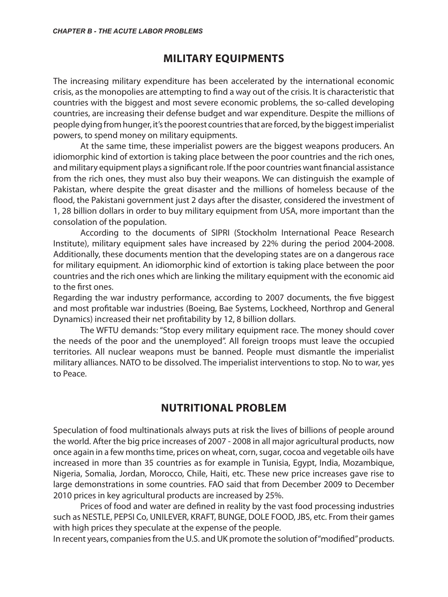#### **Military Equipments**

The increasing military expenditure has been accelerated by the international economic crisis, as the monopolies are attempting to find a way out of the crisis. It is characteristic that countries with the biggest and most severe economic problems, the so-called developing countries, are increasing their defense budget and war expenditure. Despite the millions of people dying from hunger, it's the poorest countries that are forced, by the biggest imperialist powers, to spend money on military equipments.

At the same time, these imperialist powers are the biggest weapons producers. An idiomorphic kind of extortion is taking place between the poor countries and the rich ones, and military equipment plays a significant role. If the poor countries want financial assistance from the rich ones, they must also buy their weapons. We can distinguish the example of Pakistan, where despite the great disaster and the millions of homeless because of the flood, the Pakistani government just 2 days after the disaster, considered the investment of 1, 28 billion dollars in order to buy military equipment from USA, more important than the consolation of the population.

According to the documents of SIPRI (Stockholm International Peace Research Institute), military equipment sales have increased by 22% during the period 2004-2008. Additionally, these documents mention that the developing states are on a dangerous race for military equipment. An idiomorphic kind of extortion is taking place between the poor countries and the rich ones which are linking the military equipment with the economic aid to the first ones.

Regarding the war industry performance, according to 2007 documents, the five biggest and most profitable war industries (Boeing, Bae Systems, Lockheed, Northrop and General Dynamics) increased their net profitability by 12, 8 billion dollars.

The WFTU demands: "Stop every military equipment race. The money should cover the needs of the poor and the unemployed". All foreign troops must leave the occupied territories. All nuclear weapons must be banned. People must dismantle the imperialist military alliances. NATO to be dissolved. The imperialist interventions to stop. No to war, yes to Peace.

#### **Nutritional problem**

Speculation of food multinationals always puts at risk the lives of billions of people around the world. After the big price increases of 2007 - 2008 in all major agricultural products, now once again in a few months time, prices on wheat, corn, sugar, cocoa and vegetable oils have increased in more than 35 countries as for example in Tunisia, Egypt, India, Mozambique, Nigeria, Somalia, Jordan, Morocco, Chile, Haiti, etc. These new price increases gave rise to large demonstrations in some countries. FAO said that from December 2009 to December 2010 prices in key agricultural products are increased by 25%.

Prices of food and water are defined in reality by the vast food processing industries such as NESTLE, PEPSI Co, UNILEVER, KRAFT, BUNGE, DOLE FOOD, JBS, etc. From their games with high prices they speculate at the expense of the people.

In recent years, companies from the U.S. and UK promote the solution of "modified" products.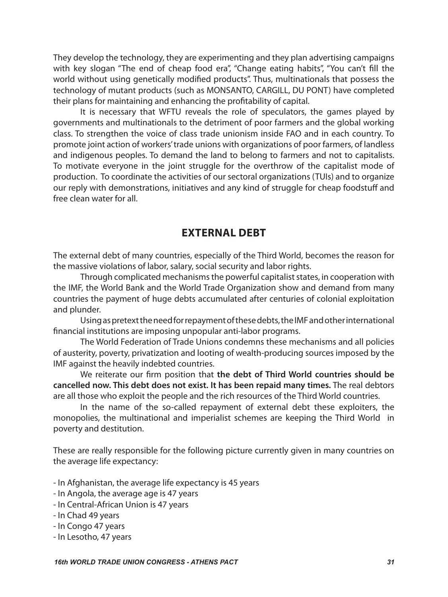They develop the technology, they are experimenting and they plan advertising campaigns with key slogan "The end of cheap food era", "Change eating habits", "You can't fill the world without using genetically modified products". Thus, multinationals that possess the technology of mutant products (such as MONSANTO, CARGILL, DU PONT) have completed their plans for maintaining and enhancing the profitability of capital.

It is necessary that WFTU reveals the role of speculators, the games played by governments and multinationals to the detriment of poor farmers and the global working class. To strengthen the voice of class trade unionism inside FAO and in each country. To promote joint action of workers' trade unions with organizations of poor farmers, of landless and indigenous peoples. To demand the land to belong to farmers and not to capitalists. To motivate everyone in the joint struggle for the overthrow of the capitalist mode of production. To coordinate the activities of our sectoral organizations (TUIs) and to organize our reply with demonstrations, initiatives and any kind of struggle for cheap foodstuff and free clean water for all.

#### **External debt**

The external debt of many countries, especially of the Third World, becomes the reason for the massive violations of labor, salary, social security and labor rights.

Through complicated mechanisms the powerful capitalist states, in cooperation with the IMF, the World Bank and the World Trade Organization show and demand from many countries the payment of huge debts accumulated after centuries of colonial exploitation and plunder.

Using as pretext the need for repayment of these debts, the IMF and other international financial institutions are imposing unpopular anti-labor programs.

The World Federation of Trade Unions condemns these mechanisms and all policies of austerity, poverty, privatization and looting of wealth-producing sources imposed by the IMF against the heavily indebted countries.

We reiterate our firm position that **the debt of Third World countries should be cancelled now. This debt does not exist. It has been repaid many times.** The real debtors are all those who exploit the people and the rich resources of the Third World countries.

In the name of the so-called repayment of external debt these exploiters, the monopolies, the multinational and imperialist schemes are keeping the Third World in poverty and destitution.

These are really responsible for the following picture currently given in many countries on the average life expectancy:

- In Afghanistan, the average life expectancy is 45 years
- In Angola, the average age is 47 years
- In Central-African Union is 47 years
- In Chad 49 years
- In Congo 47 years
- In Lesotho, 47 years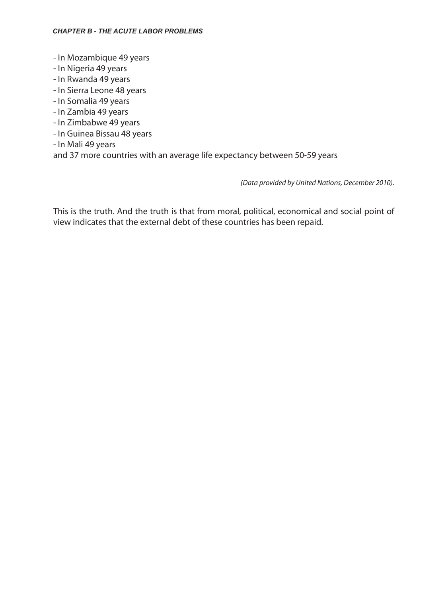- In Mozambique 49 years
- In Nigeria 49 years
- In Rwanda 49 years
- In Sierra Leone 48 years
- In Somalia 49 years
- In Zambia 49 years
- In Zimbabwe 49 years
- In Guinea Bissau 48 years
- In Mali 49 years

and 37 more countries with an average life expectancy between 50-59 years

*(Data provided by United Nations, December 2010).*

This is the truth. And the truth is that from moral, political, economical and social point of view indicates that the external debt of these countries has been repaid.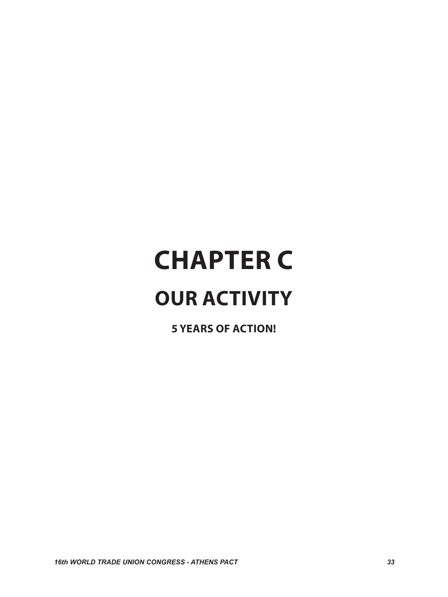# **CHAPTER C**

### **OUR ACTIVITY**

**5 years of ACTION!**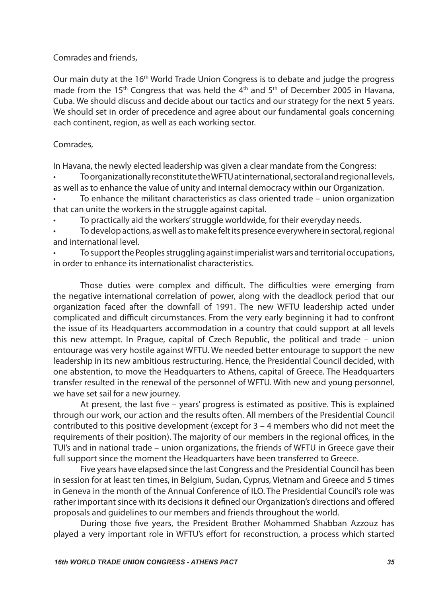#### Comrades and friends,

Our main duty at the 16<sup>th</sup> World Trade Union Congress is to debate and judge the progress made from the 15<sup>th</sup> Congress that was held the 4<sup>th</sup> and 5<sup>th</sup> of December 2005 in Havana, Cuba. We should discuss and decide about our tactics and our strategy for the next 5 years. We should set in order of precedence and agree about our fundamental goals concerning each continent, region, as well as each working sector.

#### Comrades,

In Havana, the newly elected leadership was given a clear mandate from the Congress:

• To organizationally reconstitute the WFTU at international, sectoral and regional levels, as well as to enhance the value of unity and internal democracy within our Organization.

• To enhance the militant characteristics as class oriented trade – union organization that can unite the workers in the struggle against capital.

• To practically aid the workers' struggle worldwide, for their everyday needs.

• To develop actions, as well as to make felt its presence everywhere in sectoral, regional and international level.

• To support the Peoples struggling against imperialist wars and territorial occupations, in order to enhance its internationalist characteristics.

Those duties were complex and difficult. The difficulties were emerging from the negative international correlation of power, along with the deadlock period that our organization faced after the downfall of 1991. The new WFTU leadership acted under complicated and difficult circumstances. From the very early beginning it had to confront the issue of its Headquarters accommodation in a country that could support at all levels this new attempt. In Prague, capital of Czech Republic, the political and trade – union entourage was very hostile against WFTU. We needed better entourage to support the new leadership in its new ambitious restructuring. Hence, the Presidential Council decided, with one abstention, to move the Headquarters to Athens, capital of Greece. The Headquarters transfer resulted in the renewal of the personnel of WFTU. With new and young personnel, we have set sail for a new journey.

At present, the last five – years' progress is estimated as positive. This is explained through our work, our action and the results often. All members of the Presidential Council contributed to this positive development (except for 3 – 4 members who did not meet the requirements of their position). The majority of our members in the regional offices, in the TUI's and in national trade – union organizations, the friends of WFTU in Greece gave their full support since the moment the Headquarters have been transferred to Greece.

Five years have elapsed since the last Congress and the Presidential Council has been in session for at least ten times, in Belgium, Sudan, Cyprus, Vietnam and Greece and 5 times in Geneva in the month of the Annual Conference of ILO. The Presidential Council's role was rather important since with its decisions it defined our Organization's directions and offered proposals and guidelines to our members and friends throughout the world.

During those five years, the President Brother Mohammed Shabban Azzouz has played a very important role in WFTU's effort for reconstruction, a process which started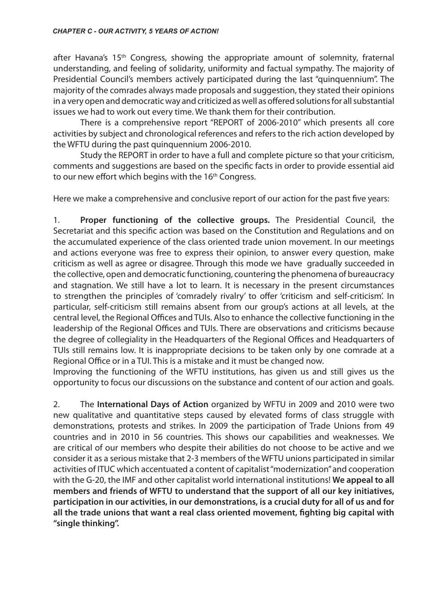after Havana's 15<sup>th</sup> Congress, showing the appropriate amount of solemnity, fraternal understanding, and feeling of solidarity, uniformity and factual sympathy. The majority of Presidential Council's members actively participated during the last "quinquennium". The majority of the comrades always made proposals and suggestion, they stated their opinions in a very open and democratic way and criticized as well as offered solutions for all substantial issues we had to work out every time. We thank them for their contribution.

There is a comprehensive report "REPORT of 2006-2010" which presents all core activities by subject and chronological references and refers to the rich action developed by the WFTU during the past quinquennium 2006-2010.

Study the REPORT in order to have a full and complete picture so that your criticism, comments and suggestions are based on the specific facts in order to provide essential aid to our new effort which begins with the 16<sup>th</sup> Congress.

Here we make a comprehensive and conclusive report of our action for the past five years:

1. **Proper functioning of the collective groups.** The Presidential Council, the Secretariat and this specific action was based on the Constitution and Regulations and on the accumulated experience of the class oriented trade union movement. In our meetings and actions everyone was free to express their opinion, to answer every question, make criticism as well as agree or disagree. Through this mode we have gradually succeeded in the collective, open and democratic functioning, countering the phenomena of bureaucracy and stagnation. We still have a lot to learn. It is necessary in the present circumstances to strengthen the principles of 'comradely rivalry' to offer 'criticism and self-criticism'. In particular, self-criticism still remains absent from our group's actions at all levels, at the central level, the Regional Offices and TUIs. Also to enhance the collective functioning in the leadership of the Regional Offices and TUIs. There are observations and criticisms because the degree of collegiality in the Headquarters of the Regional Offices and Headquarters of TUIs still remains low. It is inappropriate decisions to be taken only by one comrade at a Regional Office or in a TUI. This is a mistake and it must be changed now.

Improving the functioning of the WFTU institutions, has given us and still gives us the opportunity to focus our discussions on the substance and content of our action and goals.

2. The **International Days of Action** organized by WFTU in 2009 and 2010 were two new qualitative and quantitative steps caused by elevated forms of class struggle with demonstrations, protests and strikes. In 2009 the participation of Trade Unions from 49 countries and in 2010 in 56 countries. This shows our capabilities and weaknesses. We are critical of our members who despite their abilities do not choose to be active and we consider it as a serious mistake that 2-3 members of the WFTU unions participated in similar activities of ITUC which accentuated a content of capitalist "modernization" and cooperation with the G-20, the IMF and other capitalist world international institutions! **We appeal to all members and friends of WFTU to understand that the support of all our key initiatives, participation in our activities, in our demonstrations, is a crucial duty for all of us and for all the trade unions that want a real class oriented movement, fighting big capital with "single thinking".**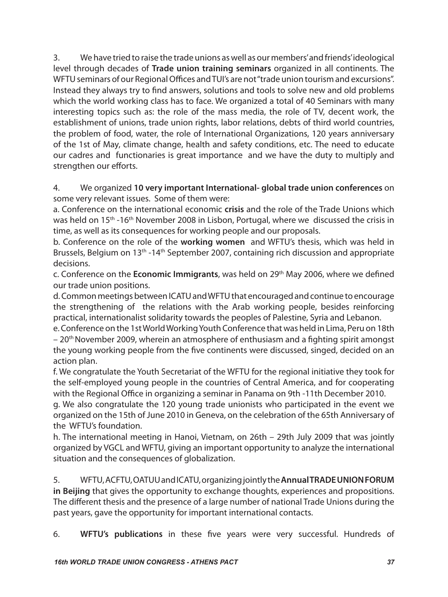3. We have tried to raise the trade unions as well as our members' and friends' ideological level through decades of **Trade union training seminars** organized in all continents. The WFTU seminars of our Regional Offices and TUI's are not "trade union tourism and excursions". Instead they always try to find answers, solutions and tools to solve new and old problems which the world working class has to face. We organized a total of 40 Seminars with many interesting topics such as: the role of the mass media, the role of TV, decent work, the establishment of unions, trade union rights, labor relations, debts of third world countries, the problem of food, water, the role of International Organizations, 120 years anniversary of the 1st of May, climate change, health and safety conditions, etc. The need to educate our cadres and functionaries is great importance and we have the duty to multiply and strengthen our efforts.

#### 4. We organized **10 very important International- global trade union conferences** on some very relevant issues. Some of them were:

a. Conference on the international economic **crisis** and the role of the Trade Unions which was held on 15<sup>th</sup> -16<sup>th</sup> November 2008 in Lisbon, Portugal, where we discussed the crisis in time, as well as its consequences for working people and our proposals.

b. Conference on the role of the **working women** and WFTU's thesis, which was held in Brussels, Belgium on 13<sup>th</sup> -14<sup>th</sup> September 2007, containing rich discussion and appropriate decisions.

c. Conference on the **Economic Immigrants**, was held on 29th May 2006, where we defined our trade union positions.

d. Common meetings between ICATU and WFTU that encouraged and continue to encourage the strengthening of the relations with the Arab working people, besides reinforcing practical, internationalist solidarity towards the peoples of Palestine, Syria and Lebanon.

e. Conference on the 1st World Working Youth Conference that was held in Lima, Peru on 18th – 20th November 2009, wherein an atmosphere of enthusiasm and a fighting spirit amongst the young working people from the five continents were discussed, singed, decided on an action plan.

f. We congratulate the Youth Secretariat of the WFTU for the regional initiative they took for the self-employed young people in the countries of Central America, and for cooperating with the Regional Office in organizing a seminar in Panama on 9th -11th December 2010.

g. We also congratulate the 120 young trade unionists who participated in the event we organized on the 15th of June 2010 in Geneva, on the celebration of the 65th Anniversary of the WFTU's foundation.

h. The international meeting in Hanoi, Vietnam, on 26th – 29th July 2009 that was jointly organized by VGCL and WFTU, giving an important opportunity to analyze the international situation and the consequences of globalization.

5. WFTU, ACFTU, OATUU and ICATU, organizing jointly the **Annual TRADE UNION FORUM in Beijing** that gives the opportunity to exchange thoughts, experiences and propositions. The different thesis and the presence of a large number of national Trade Unions during the past years, gave the opportunity for important international contacts.

6. **WFTU's publications** in these five years were very successful. Hundreds of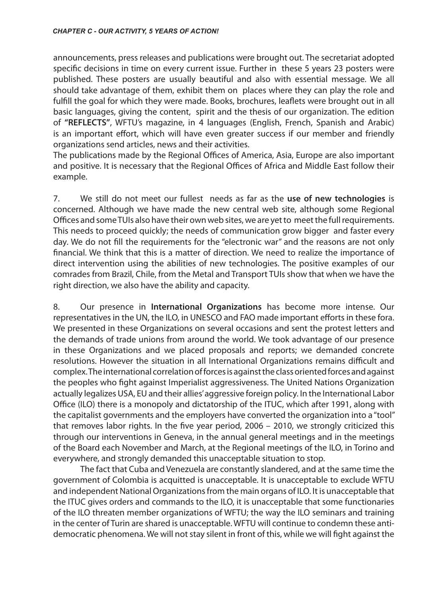announcements, press releases and publications were brought out. The secretariat adopted specific decisions in time on every current issue. Further in these 5 years 23 posters were published. These posters are usually beautiful and also with essential message. We all should take advantage of them, exhibit them on places where they can play the role and fulfill the goal for which they were made. Books, brochures, leaflets were brought out in all basic languages, giving the content, spirit and the thesis of our organization. The edition of **"REFLECTS"**, WFTU's magazine, in 4 languages (English, French, Spanish and Arabic) is an important effort, which will have even greater success if our member and friendly organizations send articles, news and their activities.

The publications made by the Regional Offices of America, Asia, Europe are also important and positive. It is necessary that the Regional Offices of Africa and Middle East follow their example.

7. We still do not meet our fullest needs as far as the **use of new technologies** is concerned. Although we have made the new central web site, although some Regional Offices and some TUIs also have their own web sites, we are yet to meet the full requirements. This needs to proceed quickly; the needs of communication grow bigger and faster every day. We do not fill the requirements for the "electronic war" and the reasons are not only financial. We think that this is a matter of direction. We need to realize the importance of direct intervention using the abilities of new technologies. The positive examples of our comrades from Brazil, Chile, from the Metal and Transport TUIs show that when we have the right direction, we also have the ability and capacity.

8. Our presence in **International Organizations** has become more intense. Our representatives in the UN, the ILO, in UNESCO and FAO made important efforts in these fora. We presented in these Organizations on several occasions and sent the protest letters and the demands of trade unions from around the world. We took advantage of our presence in these Organizations and we placed proposals and reports; we demanded concrete resolutions. However the situation in all International Organizations remains difficult and complex. The international correlation of forces is against the class oriented forces and against the peoples who fight against Imperialist aggressiveness. The United Nations Organization actually legalizes USA, EU and their allies' aggressive foreign policy. In the International Labor Office (ILO) there is a monopoly and dictatorship of the ITUC, which after 1991, along with the capitalist governments and the employers have converted the organization into a "tool" that removes labor rights. In the five year period, 2006 – 2010, we strongly criticized this through our interventions in Geneva, in the annual general meetings and in the meetings of the Board each November and March, at the Regional meetings of the ILO, in Torino and everywhere, and strongly demanded this unacceptable situation to stop.

The fact that Cuba and Venezuela are constantly slandered, and at the same time the government of Colombia is acquitted is unacceptable. It is unacceptable to exclude WFTU and independent National Organizations from the main organs of ILO. It is unacceptable that the ITUC gives orders and commands to the ILO, it is unacceptable that some functionaries of the ILO threaten member organizations of WFTU; the way the ILO seminars and training in the center of Turin are shared is unacceptable. WFTU will continue to condemn these antidemocratic phenomena. We will not stay silent in front of this, while we will fight against the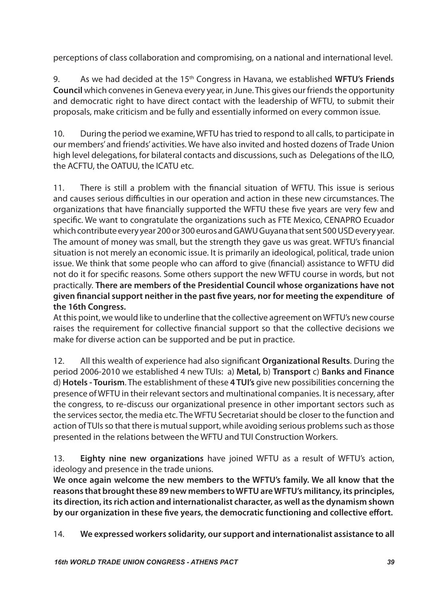perceptions of class collaboration and compromising, on a national and international level.

9. As we had decided at the 15th Congress in Havana, we established **WFTU's Friends Council** which convenes in Geneva every year, in June. This gives our friends the opportunity and democratic right to have direct contact with the leadership of WFTU, to submit their proposals, make criticism and be fully and essentially informed on every common issue.

10. During the period we examine, WFTU has tried to respond to all calls, to participate in our members' and friends' activities. We have also invited and hosted dozens of Trade Union high level delegations, for bilateral contacts and discussions, such as Delegations of the ILO, the ACFTU, the OATUU, the ICATU etc.

11. There is still a problem with the financial situation of WFTU. This issue is serious and causes serious difficulties in our operation and action in these new circumstances. The organizations that have financially supported the WFTU these five years are very few and specific. We want to congratulate the organizations such as FTE Mexico, CENAPRO Ecuador which contribute every year 200 or 300 euros and GAWU Guyana that sent 500 USD every year. The amount of money was small, but the strength they gave us was great. WFTU's financial situation is not merely an economic issue. It is primarily an ideological, political, trade union issue. We think that some people who can afford to give (financial) assistance to WFTU did not do it for specific reasons. Some others support the new WFTU course in words, but not practically. **There are members of the Presidential Council whose organizations have not given financial support neither in the past five years, nor for meeting the expenditure of the 16th Congress.** 

At this point, we would like to underline that the collective agreement on WFTU's new course raises the requirement for collective financial support so that the collective decisions we make for diverse action can be supported and be put in practice.

12. All this wealth of experience had also significant **Organizational Results**. During the period 2006-2010 we established 4 new TUIs: a) **Metal,** b) **Transport** c) **Banks and Finance**  d) **Hotels - Tourism**. The establishment of these **4 TUI's** give new possibilities concerning the presence of WFTU in their relevant sectors and multinational companies. It is necessary, after the congress, to re-discuss our organizational presence in other important sectors such as the services sector, the media etc. The WFTU Secretariat should be closer to the function and action of TUIs so that there is mutual support, while avoiding serious problems such as those presented in the relations between the WFTU and TUI Construction Workers.

13. **Eighty nine new organizations** have joined WFTU as a result of WFTU's action, ideology and presence in the trade unions.

**We once again welcome the new members to the WFTU's family. We all know that the reasons that brought these 89 new members to WFTU are WFTU's militancy, its principles, its direction, its rich action and internationalist character, as well as the dynamism shown by our organization in these five years, the democratic functioning and collective effort.**

14. **We expressed workers solidarity, our support and internationalist assistance to all**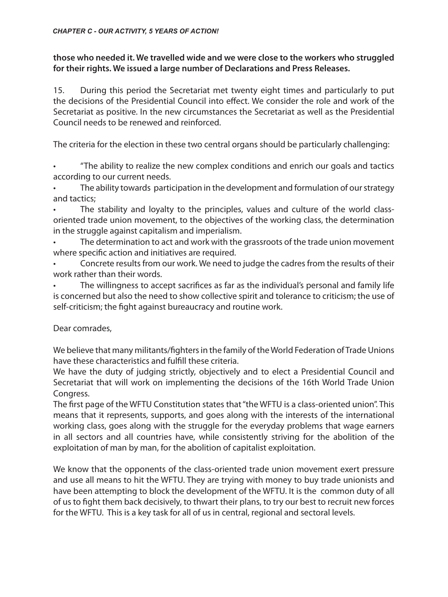#### **those who needed it. We travelled wide and we were close to the workers who struggled for their rights. We issued a large number of Declarations and Press Releases.**

15. During this period the Secretariat met twenty eight times and particularly to put the decisions of the Presidential Council into effect. We consider the role and work of the Secretariat as positive. In the new circumstances the Secretariat as well as the Presidential Council needs to be renewed and reinforced.

The criteria for the election in these two central organs should be particularly challenging:

• "The ability to realize the new complex conditions and enrich our goals and tactics according to our current needs.

• The ability towards participation in the development and formulation of our strategy and tactics;

The stability and loyalty to the principles, values and culture of the world classoriented trade union movement, to the objectives of the working class, the determination in the struggle against capitalism and imperialism.

• The determination to act and work with the grassroots of the trade union movement where specific action and initiatives are required.

• Concrete results from our work. We need to judge the cadres from the results of their work rather than their words.

• The willingness to accept sacrifices as far as the individual's personal and family life is concerned but also the need to show collective spirit and tolerance to criticism; the use of self-criticism; the fight against bureaucracy and routine work.

#### Dear comrades,

We believe that many militants/fighters in the family of the World Federation of Trade Unions have these characteristics and fulfill these criteria.

We have the duty of judging strictly, objectively and to elect a Presidential Council and Secretariat that will work on implementing the decisions of the 16th World Trade Union Congress.

The first page of the WFTU Constitution states that "the WFTU is a class-oriented union". This means that it represents, supports, and goes along with the interests of the international working class, goes along with the struggle for the everyday problems that wage earners in all sectors and all countries have, while consistently striving for the abolition of the exploitation of man by man, for the abolition of capitalist exploitation.

We know that the opponents of the class-oriented trade union movement exert pressure and use all means to hit the WFTU. They are trying with money to buy trade unionists and have been attempting to block the development of the WFTU. It is the common duty of all of us to fight them back decisively, to thwart their plans, to try our best to recruit new forces for the WFTU. This is a key task for all of us in central, regional and sectoral levels.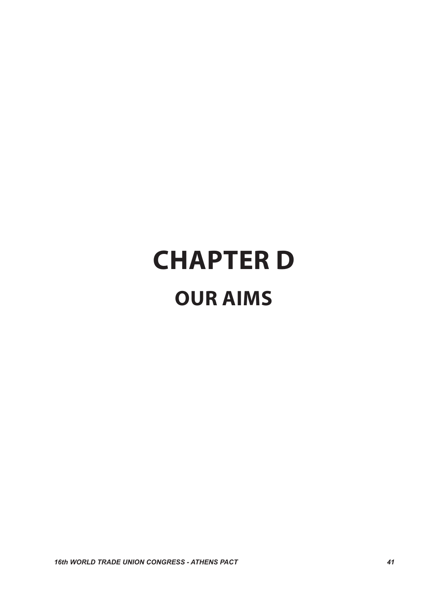# **CHAPTER D OUR AIMS**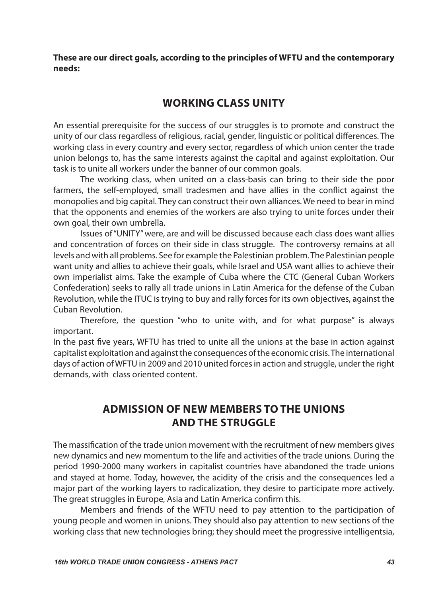**These are our direct goals, according to the principles of WFTU and the contemporary needs:**

## **Working class UNITY**

An essential prerequisite for the success of our struggles is to promote and construct the unity of our class regardless of religious, racial, gender, linguistic or political differences. The working class in every country and every sector, regardless of which union center the trade union belongs to, has the same interests against the capital and against exploitation. Our task is to unite all workers under the banner of our common goals.

The working class, when united on a class-basis can bring to their side the poor farmers, the self-employed, small tradesmen and have allies in the conflict against the monopolies and big capital. They can construct their own alliances. We need to bear in mind that the opponents and enemies of the workers are also trying to unite forces under their own goal, their own umbrella.

Issues of "UNITY" were, are and will be discussed because each class does want allies and concentration of forces on their side in class struggle. The controversy remains at all levels and with all problems. See for example the Palestinian problem. The Palestinian people want unity and allies to achieve their goals, while Israel and USA want allies to achieve their own imperialist aims. Take the example of Cuba where the CTC (General Cuban Workers Confederation) seeks to rally all trade unions in Latin America for the defense of the Cuban Revolution, while the ITUC is trying to buy and rally forces for its own objectives, against the Cuban Revolution.

Therefore, the question "who to unite with, and for what purpose" is always important.

In the past five years, WFTU has tried to unite all the unions at the base in action against capitalist exploitation and against the consequences of the economic crisis. The international days of action of WFTU in 2009 and 2010 united forces in action and struggle, under the right demands, with class oriented content.

#### **Admission of new members to the unions and the struggle**

The massification of the trade union movement with the recruitment of new members gives new dynamics and new momentum to the life and activities of the trade unions. During the period 1990-2000 many workers in capitalist countries have abandoned the trade unions and stayed at home. Today, however, the acidity of the crisis and the consequences led a major part of the working layers to radicalization, they desire to participate more actively. The great struggles in Europe, Asia and Latin America confirm this.

Members and friends of the WFTU need to pay attention to the participation of young people and women in unions. They should also pay attention to new sections of the working class that new technologies bring; they should meet the progressive intelligentsia,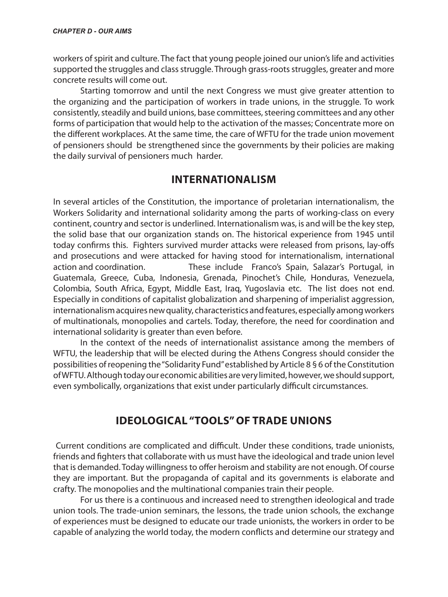workers of spirit and culture. The fact that young people joined our union's life and activities supported the struggles and class struggle. Through grass-roots struggles, greater and more concrete results will come out.

Starting tomorrow and until the next Congress we must give greater attention to the organizing and the participation of workers in trade unions, in the struggle. To work consistently, steadily and build unions, base committees, steering committees and any other forms of participation that would help to the activation of the masses; Concentrate more on the different workplaces. At the same time, the care of WFTU for the trade union movement of pensioners should be strengthened since the governments by their policies are making the daily survival of pensioners much harder.

#### **Internationalism**

In several articles of the Constitution, the importance of proletarian internationalism, the Workers Solidarity and international solidarity among the parts of working-class on every continent, country and sector is underlined. Internationalism was, is and will be the key step, the solid base that our organization stands on. The historical experience from 1945 until today confirms this. Fighters survived murder attacks were released from prisons, lay-offs and prosecutions and were attacked for having stood for internationalism, international action and coordination. These include Franco's Spain, Salazar's Portugal, in Guatemala, Greece, Cuba, Indonesia, Grenada, Pinochet's Chile, Honduras, Venezuela, Colombia, South Africa, Egypt, Middle East, Iraq, Yugoslavia etc. The list does not end. Especially in conditions of capitalist globalization and sharpening of imperialist aggression, internationalism acquires new quality, characteristics and features, especially among workers of multinationals, monopolies and cartels. Today, therefore, the need for coordination and international solidarity is greater than even before.

In the context of the needs of internationalist assistance among the members of WFTU, the leadership that will be elected during the Athens Congress should consider the possibilities of reopening the "Solidarity Fund" established by Article 8 § 6 of the Constitution of WFTU. Although today our economic abilities are very limited, however, we should support, even symbolically, organizations that exist under particularly difficult circumstances.

## **Ideological "tools" of trade unions**

 Current conditions are complicated and difficult. Under these conditions, trade unionists, friends and fighters that collaborate with us must have the ideological and trade union level that is demanded. Today willingness to offer heroism and stability are not enough. Of course they are important. But the propaganda of capital and its governments is elaborate and crafty. The monopolies and the multinational companies train their people.

For us there is a continuous and increased need to strengthen ideological and trade union tools. The trade-union seminars, the lessons, the trade union schools, the exchange of experiences must be designed to educate our trade unionists, the workers in order to be capable of analyzing the world today, the modern conflicts and determine our strategy and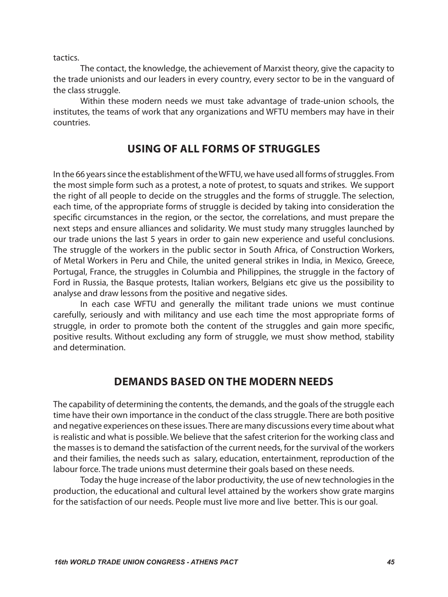tactics.

The contact, the knowledge, the achievement of Marxist theory, give the capacity to the trade unionists and our leaders in every country, every sector to be in the vanguard of the class struggle.

Within these modern needs we must take advantage of trade-union schools, the institutes, the teams of work that any organizations and WFTU members may have in their countries.

#### **Using of all forms of struggles**

In the 66 years since the establishment of the WFTU, we have used all forms of struggles. From the most simple form such as a protest, a note of protest, to squats and strikes. We support the right of all people to decide on the struggles and the forms of struggle. The selection, each time, of the appropriate forms of struggle is decided by taking into consideration the specific circumstances in the region, or the sector, the correlations, and must prepare the next steps and ensure alliances and solidarity. We must study many struggles launched by our trade unions the last 5 years in order to gain new experience and useful conclusions. The struggle of the workers in the public sector in South Africa, of Construction Workers, of Metal Workers in Peru and Chile, the united general strikes in India, in Mexico, Greece, Portugal, France, the struggles in Columbia and Philippines, the struggle in the factory of Ford in Russia, the Basque protests, Italian workers, Belgians etc give us the possibility to analyse and draw lessons from the positive and negative sides.

In each case WFTU and generally the militant trade unions we must continue carefully, seriously and with militancy and use each time the most appropriate forms of struggle, in order to promote both the content of the struggles and gain more specific, positive results. Without excluding any form of struggle, we must show method, stability and determination.

#### **Demands based on the modern needs**

The capability of determining the contents, the demands, and the goals of the struggle each time have their own importance in the conduct of the class struggle. There are both positive and negative experiences on these issues. There are many discussions every time about what is realistic and what is possible. We believe that the safest criterion for the working class and the masses is to demand the satisfaction of the current needs, for the survival of the workers and their families, the needs such as salary, education, entertainment, reproduction of the labour force. The trade unions must determine their goals based on these needs.

Today the huge increase of the labor productivity, the use of new technologies in the production, the educational and cultural level attained by the workers show grate margins for the satisfaction of our needs. People must live more and live better. This is our goal.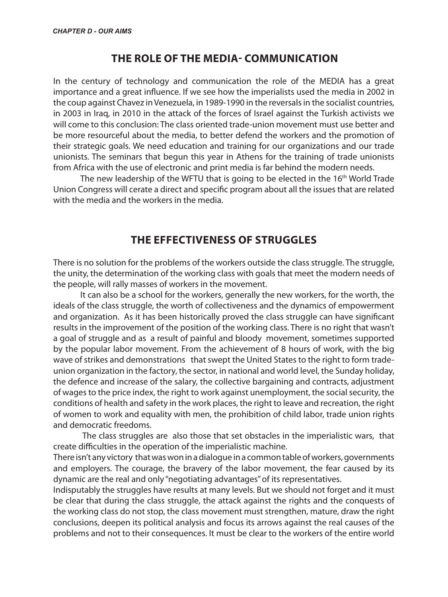#### **The role of the MEDIA- Communication**

In the century of technology and communication the role of the MEDIA has a great importance and a great influence. If we see how the imperialists used the media in 2002 in the coup against Chavez in Venezuela, in 1989-1990 in the reversals in the socialist countries, in 2003 in Iraq, in 2010 in the attack of the forces of Israel against the Turkish activists we will come to this conclusion: The class oriented trade-union movement must use better and be more resourceful about the media, to better defend the workers and the promotion of their strategic goals. We need education and training for our organizations and our trade unionists. The seminars that begun this year in Athens for the training of trade unionists from Africa with the use of electronic and print media is far behind the modern needs.

The new leadership of the WFTU that is going to be elected in the 16<sup>th</sup> World Trade Union Congress will cerate a direct and specific program about all the issues that are related with the media and the workers in the media.

#### **The effectiveness of struggles**

There is no solution for the problems of the workers outside the class struggle. The struggle, the unity, the determination of the working class with goals that meet the modern needs of the people, will rally masses of workers in the movement.

It can also be a school for the workers, generally the new workers, for the worth, the ideals of the class struggle, the worth of collectiveness and the dynamics of empowerment and organization. As it has been historically proved the class struggle can have significant results in the improvement of the position of the working class. There is no right that wasn't a goal of struggle and as a result of painful and bloody movement, sometimes supported by the popular labor movement. From the achievement of 8 hours of work, with the big wave of strikes and demonstrations that swept the United States to the right to form tradeunion organization in the factory, the sector, in national and world level, the Sunday holiday, the defence and increase of the salary, the collective bargaining and contracts, adjustment of wages to the price index, the right to work against unemployment, the social security, the conditions of health and safety in the work places, the right to leave and recreation, the right of women to work and equality with men, the prohibition of child labor, trade union rights and democratic freedoms.

 The class struggles are also those that set obstacles in the imperialistic wars, that create difficulties in the operation of the imperialistic machine.

There isn't any victory that was won in a dialogue in a common table of workers, governments and employers. The courage, the bravery of the labor movement, the fear caused by its dynamic are the real and only "negotiating advantages" of its representatives.

Indisputably the struggles have results at many levels. But we should not forget and it must be clear that during the class struggle, the attack against the rights and the conquests of the working class do not stop, the class movement must strengthen, mature, draw the right conclusions, deepen its political analysis and focus its arrows against the real causes of the problems and not to their consequences. It must be clear to the workers of the entire world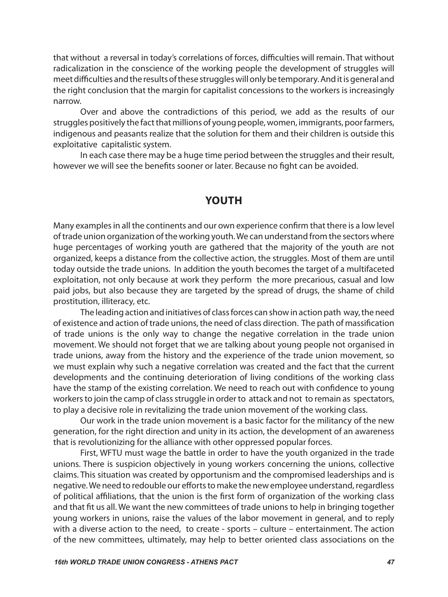that without a reversal in today's correlations of forces, difficulties will remain. That without radicalization in the conscience of the working people the development of struggles will meet difficulties and the results of these struggles will only be temporary. And it is general and the right conclusion that the margin for capitalist concessions to the workers is increasingly narrow.

Over and above the contradictions of this period, we add as the results of our struggles positively the fact that millions of young people, women, immigrants, poor farmers, indigenous and peasants realize that the solution for them and their children is outside this exploitative capitalistic system.

In each case there may be a huge time period between the struggles and their result, however we will see the benefits sooner or later. Because no fight can be avoided.

#### **Youth**

Many examples in all the continents and our own experience confirm that there is a low level of trade union organization of the working youth. We can understand from the sectors where huge percentages of working youth are gathered that the majority of the youth are not organized, keeps a distance from the collective action, the struggles. Most of them are until today outside the trade unions. In addition the youth becomes the target of a multifaceted exploitation, not only because at work they perform the more precarious, casual and low paid jobs, but also because they are targeted by the spread of drugs, the shame of child prostitution, illiteracy, etc.

The leading action and initiatives of class forces can show in action path way, the need of existence and action of trade unions, the need of class direction. The path of massification of trade unions is the only way to change the negative correlation in the trade union movement. We should not forget that we are talking about young people not organised in trade unions, away from the history and the experience of the trade union movement, so we must explain why such a negative correlation was created and the fact that the current developments and the continuing deterioration of living conditions of the working class have the stamp of the existing correlation. We need to reach out with confidence to young workers to join the camp of class struggle in order to attack and not to remain as spectators, to play a decisive role in revitalizing the trade union movement of the working class.

Our work in the trade union movement is a basic factor for the militancy of the new generation, for the right direction and unity in its action, the development of an awareness that is revolutionizing for the alliance with other oppressed popular forces.

First, WFTU must wage the battle in order to have the youth organized in the trade unions. There is suspicion objectively in young workers concerning the unions, collective claims. This situation was created by opportunism and the compromised leaderships and is negative. We need to redouble our efforts to make the new employee understand, regardless of political affiliations, that the union is the first form of organization of the working class and that fit us all. We want the new committees of trade unions to help in bringing together young workers in unions, raise the values of the labor movement in general, and to reply with a diverse action to the need, to create - sports – culture – entertainment. The action of the new committees, ultimately, may help to better oriented class associations on the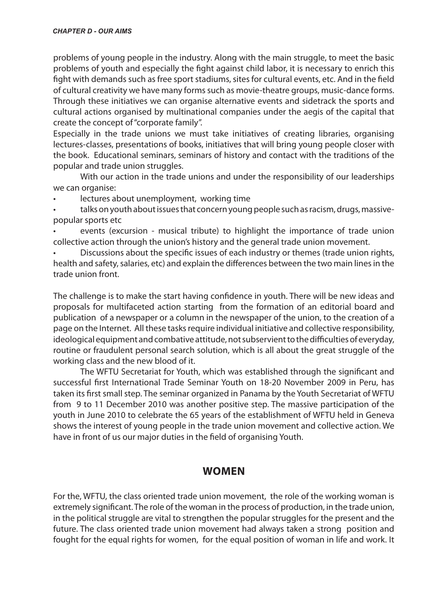problems of young people in the industry. Along with the main struggle, to meet the basic problems of youth and especially the fight against child labor, it is necessary to enrich this fight with demands such as free sport stadiums, sites for cultural events, etc. And in the field of cultural creativity we have many forms such as movie-theatre groups, music-dance forms. Through these initiatives we can organise alternative events and sidetrack the sports and cultural actions organised by multinational companies under the aegis of the capital that create the concept of "corporate family".

Especially in the trade unions we must take initiatives of creating libraries, organising lectures-classes, presentations of books, initiatives that will bring young people closer with the book. Educational seminars, seminars of history and contact with the traditions of the popular and trade union struggles.

With our action in the trade unions and under the responsibility of our leaderships we can organise:

lectures about unemployment, working time

• talks on youth about issues that concern young people such as racism, drugs, massivepopular sports etc

• events (excursion - musical tribute) to highlight the importance of trade union collective action through the union's history and the general trade union movement.

• Discussions about the specific issues of each industry or themes (trade union rights, health and safety, salaries, etc) and explain the differences between the two main lines in the trade union front.

The challenge is to make the start having confidence in youth. There will be new ideas and proposals for multifaceted action starting from the formation of an editorial board and publication of a newspaper or a column in the newspaper of the union, to the creation of a page on the Internet. All these tasks require individual initiative and collective responsibility, ideological equipment and combative attitude, not subservient to the difficulties of everyday, routine or fraudulent personal search solution, which is all about the great struggle of the working class and the new blood of it.

The WFTU Secretariat for Youth, which was established through the significant and successful first International Trade Seminar Youth on 18-20 November 2009 in Peru, has taken its first small step. The seminar organized in Panama by the Youth Secretariat of WFTU from 9 to 11 December 2010 was another positive step. The massive participation of the youth in June 2010 to celebrate the 65 years of the establishment of WFTU held in Geneva shows the interest of young people in the trade union movement and collective action. We have in front of us our major duties in the field of organising Youth.

#### **Women**

For the, WFTU, the class oriented trade union movement, the role of the working woman is extremely significant. The role of the woman in the process of production, in the trade union, in the political struggle are vital to strengthen the popular struggles for the present and the future. The class oriented trade union movement had always taken a strong position and fought for the equal rights for women, for the equal position of woman in life and work. It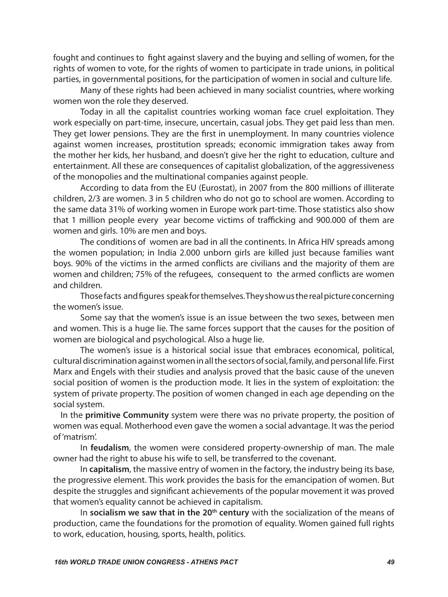fought and continues to fight against slavery and the buying and selling of women, for the rights of women to vote, for the rights of women to participate in trade unions, in political parties, in governmental positions, for the participation of women in social and culture life.

Many of these rights had been achieved in many socialist countries, where working women won the role they deserved.

Today in all the capitalist countries working woman face cruel exploitation. They work especially on part-time, insecure, uncertain, casual jobs. They get paid less than men. They get lower pensions. They are the first in unemployment. In many countries violence against women increases, prostitution spreads; economic immigration takes away from the mother her kids, her husband, and doesn't give her the right to education, culture and entertainment. All these are consequences of capitalist globalization, of the aggressiveness of the monopolies and the multinational companies against people.

According to data from the EU (Eurostat), in 2007 from the 800 millions of illiterate children, 2/3 are women. 3 in 5 children who do not go to school are women. According to the same data 31% of working women in Europe work part-time. Those statistics also show that 1 million people every year become victims of trafficking and 900.000 of them are women and girls. 10% are men and boys.

The conditions of women are bad in all the continents. In Africa HIV spreads among the women population; in India 2.000 unborn girls are killed just because families want boys. 90% of the victims in the armed conflicts are civilians and the majority of them are women and children; 75% of the refugees, consequent to the armed conflicts are women and children.

Those facts and figures speak for themselves. They show us the real picture concerning the women's issue.

Some say that the women's issue is an issue between the two sexes, between men and women. This is a huge lie. The same forces support that the causes for the position of women are biological and psychological. Also a huge lie.

The women's issue is a historical social issue that embraces economical, political, cultural discrimination against women in all the sectors of social, family, and personal life. First Marx and Engels with their studies and analysis proved that the basic cause of the uneven social position of women is the production mode. It lies in the system of exploitation: the system of private property. The position of women changed in each age depending on the social system.

 In the **primitive Community** system were there was no private property, the position of women was equal. Motherhood even gave the women a social advantage. It was the period of 'matrism'.

In **feudalism**, the women were considered property-ownership of man. The male owner had the right to abuse his wife to sell, be transferred to the covenant.

In **capitalism**, the massive entry of women in the factory, the industry being its base, the progressive element. This work provides the basis for the emancipation of women. But despite the struggles and significant achievements of the popular movement it was proved that women's equality cannot be achieved in capitalism.

In **socialism we saw that in the 20<sup>th</sup> century** with the socialization of the means of production, came the foundations for the promotion of equality. Women gained full rights to work, education, housing, sports, health, politics.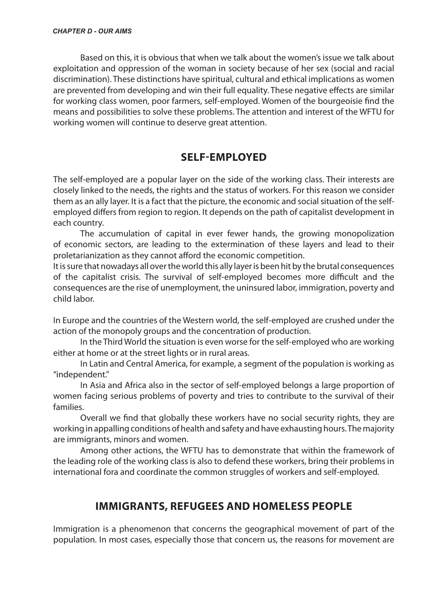Based on this, it is obvious that when we talk about the women's issue we talk about exploitation and oppression of the woman in society because of her sex (social and racial discrimination). These distinctions have spiritual, cultural and ethical implications as women are prevented from developing and win their full equality. These negative effects are similar for working class women, poor farmers, self-employed. Women of the bourgeoisie find the means and possibilities to solve these problems. The attention and interest of the WFTU for working women will continue to deserve great attention.

#### **Self-Employed**

The self-employed are a popular layer on the side of the working class. Their interests are closely linked to the needs, the rights and the status of workers. For this reason we consider them as an ally layer. It is a fact that the picture, the economic and social situation of the selfemployed differs from region to region. It depends on the path of capitalist development in each country.

The accumulation of capital in ever fewer hands, the growing monopolization of economic sectors, are leading to the extermination of these layers and lead to their proletarianization as they cannot afford the economic competition.

It is sure that nowadays all over the world this ally layer is been hit by the brutal consequences of the capitalist crisis. The survival of self-employed becomes more difficult and the consequences are the rise of unemployment, the uninsured labor, immigration, poverty and child labor.

In Europe and the countries of the Western world, the self-employed are crushed under the action of the monopoly groups and the concentration of production.

In the Third World the situation is even worse for the self-employed who are working either at home or at the street lights or in rural areas.

In Latin and Central America, for example, a segment of the population is working as "independent."

In Asia and Africa also in the sector of self-employed belongs a large proportion of women facing serious problems of poverty and tries to contribute to the survival of their families.

Overall we find that globally these workers have no social security rights, they are working in appalling conditions of health and safety and have exhausting hours. The majority are immigrants, minors and women.

Among other actions, the WFTU has to demonstrate that within the framework of the leading role of the working class is also to defend these workers, bring their problems in international fora and coordinate the common struggles of workers and self-employed.

## **Immigrants, Refugees and homeless people**

Immigration is a phenomenon that concerns the geographical movement of part of the population. In most cases, especially those that concern us, the reasons for movement are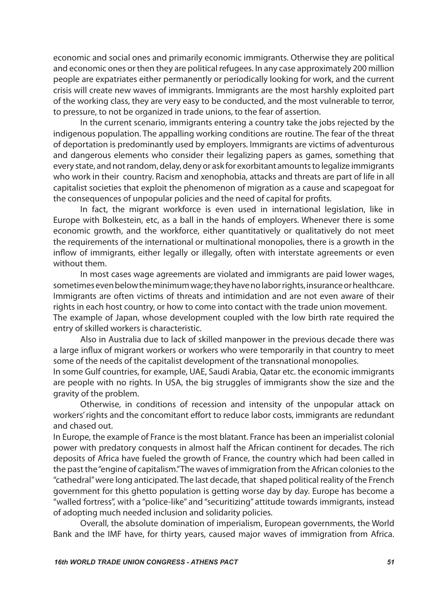economic and social ones and primarily economic immigrants. Otherwise they are political and economic ones or then they are political refugees. In any case approximately 200 million people are expatriates either permanently or periodically looking for work, and the current crisis will create new waves of immigrants. Immigrants are the most harshly exploited part of the working class, they are very easy to be conducted, and the most vulnerable to terror, to pressure, to not be organized in trade unions, to the fear of assertion.

In the current scenario, immigrants entering a country take the jobs rejected by the indigenous population. The appalling working conditions are routine. The fear of the threat of deportation is predominantly used by employers. Immigrants are victims of adventurous and dangerous elements who consider their legalizing papers as games, something that every state, and not random, delay, deny or ask for exorbitant amounts to legalize immigrants who work in their country. Racism and xenophobia, attacks and threats are part of life in all capitalist societies that exploit the phenomenon of migration as a cause and scapegoat for the consequences of unpopular policies and the need of capital for profits.

In fact, the migrant workforce is even used in international legislation, like in Europe with Bolkestein, etc, as a ball in the hands of employers. Whenever there is some economic growth, and the workforce, either quantitatively or qualitatively do not meet the requirements of the international or multinational monopolies, there is a growth in the inflow of immigrants, either legally or illegally, often with interstate agreements or even without them.

In most cases wage agreements are violated and immigrants are paid lower wages, sometimes even below the minimum wage; they have no labor rights, insurance or healthcare. Immigrants are often victims of threats and intimidation and are not even aware of their rights in each host country, or how to come into contact with the trade union movement. The example of Japan, whose development coupled with the low birth rate required the entry of skilled workers is characteristic.

Also in Australia due to lack of skilled manpower in the previous decade there was a large influx of migrant workers or workers who were temporarily in that country to meet some of the needs of the capitalist development of the transnational monopolies.

In some Gulf countries, for example, UAE, Saudi Arabia, Qatar etc. the economic immigrants are people with no rights. In USA, the big struggles of immigrants show the size and the gravity of the problem.

Otherwise, in conditions of recession and intensity of the unpopular attack on workers' rights and the concomitant effort to reduce labor costs, immigrants are redundant and chased out.

In Europe, the example of France is the most blatant. France has been an imperialist colonial power with predatory conquests in almost half the African continent for decades. The rich deposits of Africa have fueled the growth of France, the country which had been called in the past the "engine of capitalism." The waves of immigration from the African colonies to the "cathedral" were long anticipated. The last decade, that shaped political reality of the French government for this ghetto population is getting worse day by day. Europe has become a "walled fortress", with a "police-like" and "securitizing" attitude towards immigrants, instead of adopting much needed inclusion and solidarity policies.

Overall, the absolute domination of imperialism, European governments, the World Bank and the IMF have, for thirty years, caused major waves of immigration from Africa.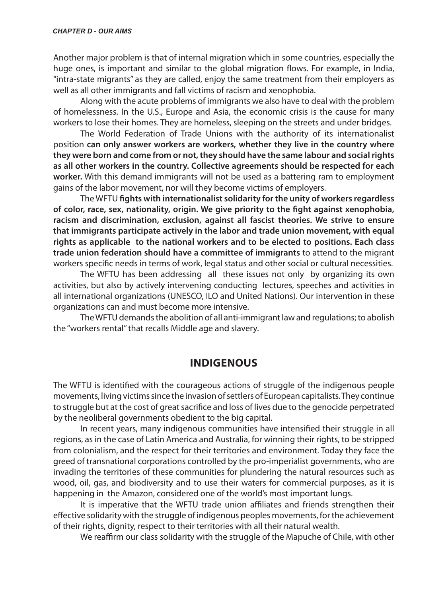Another major problem is that of internal migration which in some countries, especially the huge ones, is important and similar to the global migration flows. For example, in India, "intra-state migrants" as they are called, enjoy the same treatment from their employers as well as all other immigrants and fall victims of racism and xenophobia.

Along with the acute problems of immigrants we also have to deal with the problem of homelessness. In the U.S., Europe and Asia, the economic crisis is the cause for many workers to lose their homes. They are homeless, sleeping on the streets and under bridges.

The World Federation of Trade Unions with the authority of its internationalist position **can only answer workers are workers, whether they live in the country where they were born and come from or not, they should have the same labour and social rights as all other workers in the country. Collective agreements should be respected for each worker.** With this demand immigrants will not be used as a battering ram to employment gains of the labor movement, nor will they become victims of employers.

The WFTU **fights with internationalist solidarity for the unity of workers regardless of color, race, sex, nationality, origin. We give priority to the fight against xenophobia, racism and discrimination, exclusion, against all fascist theories. We strive to ensure that immigrants participate actively in the labor and trade union movement, with equal rights as applicable to the national workers and to be elected to positions. Each class trade union federation should have a committee of immigrants** to attend to the migrant workers specific needs in terms of work, legal status and other social or cultural necessities.

The WFTU has been addressing all these issues not only by organizing its own activities, but also by actively intervening conducting lectures, speeches and activities in all international organizations (UNESCO, ILO and United Nations). Our intervention in these organizations can and must become more intensive.

The WFTU demands the abolition of all anti-immigrant law and regulations; to abolish the "workers rental" that recalls Middle age and slavery.

#### **Indigenous**

The WFTU is identified with the courageous actions of struggle of the indigenous people movements, living victims since the invasion of settlers of European capitalists. They continue to struggle but at the cost of great sacrifice and loss of lives due to the genocide perpetrated by the neoliberal governments obedient to the big capital.

In recent years, many indigenous communities have intensified their struggle in all regions, as in the case of Latin America and Australia, for winning their rights, to be stripped from colonialism, and the respect for their territories and environment. Today they face the greed of transnational corporations controlled by the pro-imperialist governments, who are invading the territories of these communities for plundering the natural resources such as wood, oil, gas, and biodiversity and to use their waters for commercial purposes, as it is happening in the Amazon, considered one of the world's most important lungs.

It is imperative that the WFTU trade union affiliates and friends strengthen their effective solidarity with the struggle of indigenous peoples movements, for the achievement of their rights, dignity, respect to their territories with all their natural wealth.

We reaffirm our class solidarity with the struggle of the Mapuche of Chile, with other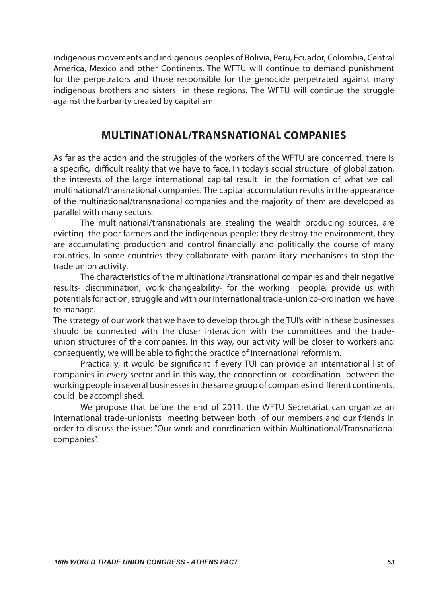indigenous movements and indigenous peoples of Bolivia, Peru, Ecuador, Colombia, Central America, Mexico and other Continents. The WFTU will continue to demand punishment for the perpetrators and those responsible for the genocide perpetrated against many indigenous brothers and sisters in these regions. The WFTU will continue the struggle against the barbarity created by capitalism.

#### **Multinational/Transnational Companies**

As far as the action and the struggles of the workers of the WFTU are concerned, there is a specific, difficult reality that we have to face. In today's social structure of globalization, the interests of the large international capital result in the formation of what we call multinational/transnational companies. The capital accumulation results in the appearance of the multinational/transnational companies and the majority of them are developed as parallel with many sectors.

The multinational/transnationals are stealing the wealth producing sources, are evicting the poor farmers and the indigenous people; they destroy the environment, they are accumulating production and control financially and politically the course of many countries. In some countries they collaborate with paramilitary mechanisms to stop the trade union activity.

The characteristics of the multinational/transnational companies and their negative results- discrimination, work changeability- for the working people, provide us with potentials for action, struggle and with our international trade-union co-ordination we have to manage.

The strategy of our work that we have to develop through the TUI's within these businesses should be connected with the closer interaction with the committees and the tradeunion structures of the companies. In this way, our activity will be closer to workers and consequently, we will be able to fight the practice of international reformism.

Practically, it would be significant if every TUI can provide an international list of companies in every sector and in this way, the connection or coordination between the working people in several businesses in the same group of companies in different continents, could be accomplished.

We propose that before the end of 2011, the WFTU Secretariat can organize an international trade-unionists meeting between both of our members and our friends in order to discuss the issue: "Our work and coordination within Multinational/Transnational companies".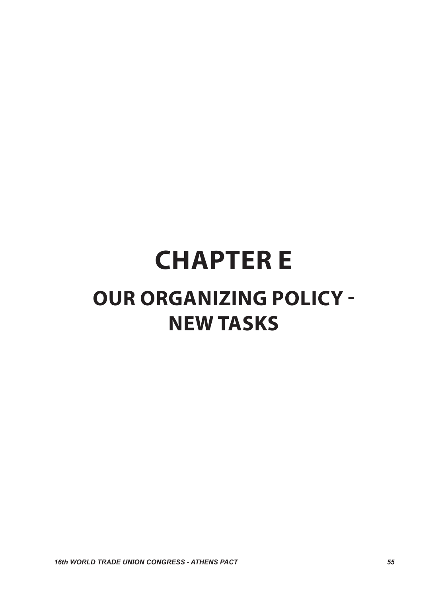## **CHAPTER E OUR ORGANIZING POLICY - NEW TASKS**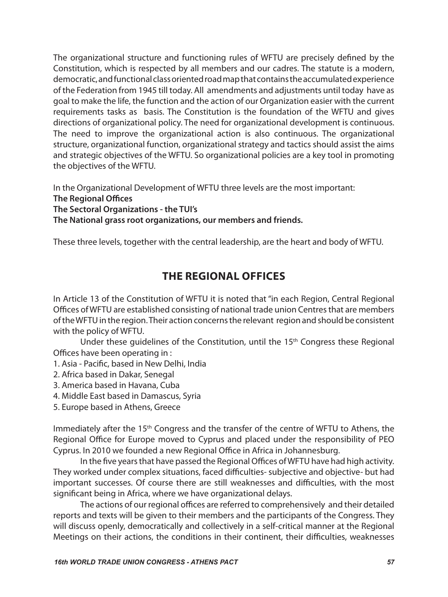The organizational structure and functioning rules of WFTU are precisely defined by the Constitution, which is respected by all members and our cadres. The statute is a modern, democratic, and functional class oriented road map that contains the accumulated experience of the Federation from 1945 till today. All amendments and adjustments until today have as goal to make the life, the function and the action of our Organization easier with the current requirements tasks as basis. The Constitution is the foundation of the WFTU and gives directions of organizational policy. The need for organizational development is continuous. The need to improve the organizational action is also continuous. The organizational structure, organizational function, organizational strategy and tactics should assist the aims and strategic objectives of the WFTU. So organizational policies are a key tool in promoting the objectives of the WFTU.

In the Organizational Development of WFTU three levels are the most important: **The Regional Offices The Sectoral Organizations - the TUI's The National grass root organizations, our members and friends.**

These three levels, together with the central leadership, are the heart and body of WFTU.

## **The Regional Offices**

In Article 13 of the Constitution of WFTU it is noted that "in each Region, Central Regional Offices of WFTU are established consisting of national trade union Centres that are members of the WFTU in the region. Their action concerns the relevant region and should be consistent with the policy of WFTU.

Under these guidelines of the Constitution, until the 15<sup>th</sup> Congress these Regional Offices have been operating in :

- 1. Asia Pacific, based in New Delhi, India
- 2. Africa based in Dakar, Senegal
- 3. America based in Havana, Cuba
- 4. Middle East based in Damascus, Syria
- 5. Europe based in Athens, Greece

Immediately after the 15<sup>th</sup> Congress and the transfer of the centre of WFTU to Athens, the Regional Office for Europe moved to Cyprus and placed under the responsibility of PEO Cyprus. In 2010 we founded a new Regional Office in Africa in Johannesburg.

In the five years that have passed the Regional Offices of WFTU have had high activity. They worked under complex situations, faced difficulties- subjective and objective- but had important successes. Of course there are still weaknesses and difficulties, with the most significant being in Africa, where we have organizational delays.

The actions of our regional offices are referred to comprehensively and their detailed reports and texts will be given to their members and the participants of the Congress. They will discuss openly, democratically and collectively in a self-critical manner at the Regional Meetings on their actions, the conditions in their continent, their difficulties, weaknesses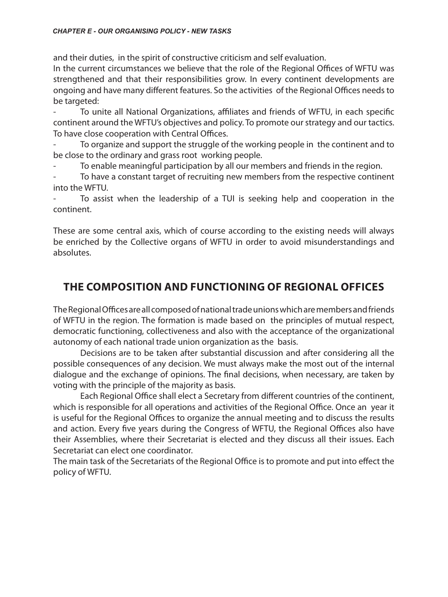and their duties, in the spirit of constructive criticism and self evaluation.

In the current circumstances we believe that the role of the Regional Offices of WFTU was strengthened and that their responsibilities grow. In every continent developments are ongoing and have many different features. So the activities of the Regional Offices needs to be targeted:

To unite all National Organizations, affiliates and friends of WFTU, in each specific continent around the WFTU's objectives and policy. To promote our strategy and our tactics. To have close cooperation with Central Offices.

To organize and support the struggle of the working people in the continent and to be close to the ordinary and grass root working people.

To enable meaningful participation by all our members and friends in the region.

To have a constant target of recruiting new members from the respective continent into the WFTU.

To assist when the leadership of a TUI is seeking help and cooperation in the continent.

These are some central axis, which of course according to the existing needs will always be enriched by the Collective organs of WFTU in order to avoid misunderstandings and absolutes.

## **The composition and functioning of Regional Offices**

The Regional Offices are all composed of national trade unions which are members and friends of WFTU in the region. The formation is made based on the principles of mutual respect, democratic functioning, collectiveness and also with the acceptance of the organizational autonomy of each national trade union organization as the basis.

Decisions are to be taken after substantial discussion and after considering all the possible consequences of any decision. We must always make the most out of the internal dialogue and the exchange of opinions. The final decisions, when necessary, are taken by voting with the principle of the majority as basis.

Each Regional Office shall elect a Secretary from different countries of the continent, which is responsible for all operations and activities of the Regional Office. Once an year it is useful for the Regional Offices to organize the annual meeting and to discuss the results and action. Every five years during the Congress of WFTU, the Regional Offices also have their Assemblies, where their Secretariat is elected and they discuss all their issues. Each Secretariat can elect one coordinator.

The main task of the Secretariats of the Regional Office is to promote and put into effect the policy of WFTU.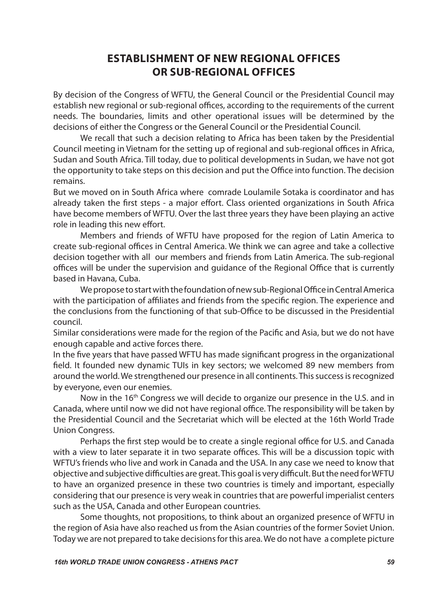## **Establishment of new regional offices or sub-regional offices**

By decision of the Congress of WFTU, the General Council or the Presidential Council may establish new regional or sub-regional offices, according to the requirements of the current needs. The boundaries, limits and other operational issues will be determined by the decisions of either the Congress or the General Council or the Presidential Council.

We recall that such a decision relating to Africa has been taken by the Presidential Council meeting in Vietnam for the setting up of regional and sub-regional offices in Africa, Sudan and South Africa. Till today, due to political developments in Sudan, we have not got the opportunity to take steps on this decision and put the Office into function. The decision remains.

But we moved on in South Africa where comrade Loulamile Sotaka is coordinator and has already taken the first steps - a major effort. Class oriented organizations in South Africa have become members of WFTU. Over the last three years they have been playing an active role in leading this new effort.

Members and friends of WFTU have proposed for the region of Latin America to create sub-regional offices in Central America. We think we can agree and take a collective decision together with all our members and friends from Latin America. The sub-regional offices will be under the supervision and guidance of the Regional Office that is currently based in Havana, Cuba.

We propose to start with the foundation of new sub-Regional Office in Central America with the participation of affiliates and friends from the specific region. The experience and the conclusions from the functioning of that sub-Office to be discussed in the Presidential council.

Similar considerations were made for the region of the Pacific and Asia, but we do not have enough capable and active forces there.

In the five years that have passed WFTU has made significant progress in the organizational field. It founded new dynamic TUIs in key sectors; we welcomed 89 new members from around the world. We strengthened our presence in all continents. This success is recognized by everyone, even our enemies.

Now in the 16<sup>th</sup> Congress we will decide to organize our presence in the U.S. and in Canada, where until now we did not have regional office. The responsibility will be taken by the Presidential Council and the Secretariat which will be elected at the 16th World Trade Union Congress.

Perhaps the first step would be to create a single regional office for U.S. and Canada with a view to later separate it in two separate offices. This will be a discussion topic with WFTU's friends who live and work in Canada and the USA. In any case we need to know that objective and subjective difficulties are great. This goal is very difficult. But the need for WFTU to have an organized presence in these two countries is timely and important, especially considering that our presence is very weak in countries that are powerful imperialist centers such as the USA, Canada and other European countries.

Some thoughts, not propositions, to think about an organized presence of WFTU in the region of Asia have also reached us from the Asian countries of the former Soviet Union. Today we are not prepared to take decisions for this area. We do not have a complete picture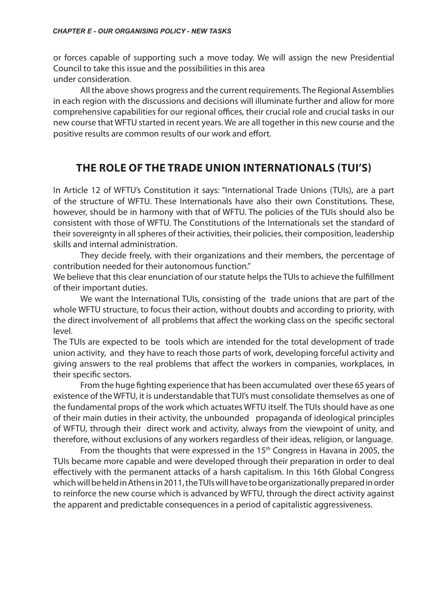or forces capable of supporting such a move today. We will assign the new Presidential Council to take this issue and the possibilities in this area under consideration.

All the above shows progress and the current requirements. The Regional Assemblies in each region with the discussions and decisions will illuminate further and allow for more comprehensive capabilities for our regional offices, their crucial role and crucial tasks in our new course that WFTU started in recent years. We are all together in this new course and the positive results are common results of our work and effort.

## **The role of the Trade Union Internationals (TUI's)**

In Article 12 of WFTU's Constitution it says: "International Trade Unions (TUIs), are a part of the structure of WFTU. These Internationals have also their own Constitutions. These, however, should be in harmony with that of WFTU. The policies of the TUIs should also be consistent with those of WFTU. The Constitutions of the Internationals set the standard of their sovereignty in all spheres of their activities, their policies, their composition, leadership skills and internal administration.

They decide freely, with their organizations and their members, the percentage of contribution needed for their autonomous function."

We believe that this clear enunciation of our statute helps the TUIs to achieve the fulfillment of their important duties.

We want the International TUIs, consisting of the trade unions that are part of the whole WFTU structure, to focus their action, without doubts and according to priority, with the direct involvement of all problems that affect the working class on the specific sectoral level.

The TUIs are expected to be tools which are intended for the total development of trade union activity, and they have to reach those parts of work, developing forceful activity and giving answers to the real problems that affect the workers in companies, workplaces, in their specific sectors.

From the huge fighting experience that has been accumulated over these 65 years of existence of the WFTU, it is understandable that TUI's must consolidate themselves as one of the fundamental props of the work which actuates WFTU itself. The TUIs should have as one of their main duties in their activity, the unbounded propaganda of ideological principles of WFTU, through their direct work and activity, always from the viewpoint of unity, and therefore, without exclusions of any workers regardless of their ideas, religion, or language.

From the thoughts that were expressed in the  $15<sup>th</sup>$  Congress in Havana in 2005, the TUIs became more capable and were developed through their preparation in order to deal effectively with the permanent attacks of a harsh capitalism. In this 16th Global Congress which will be held in Athens in 2011, the TUIs will have to be organizationally prepared in order to reinforce the new course which is advanced by WFTU, through the direct activity against the apparent and predictable consequences in a period of capitalistic aggressiveness.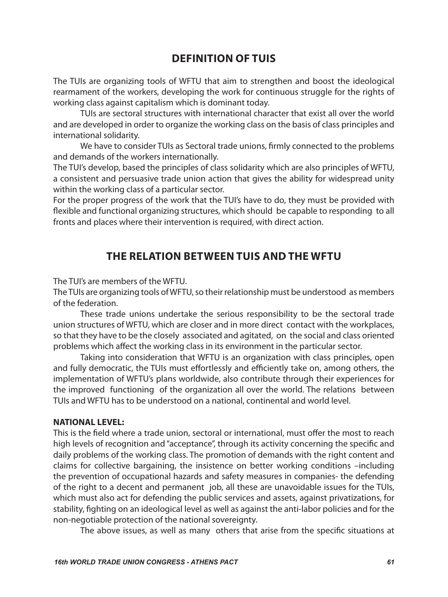#### **Definition of TUIs**

The TUIs are organizing tools of WFTU that aim to strengthen and boost the ideological rearmament of the workers, developing the work for continuous struggle for the rights of working class against capitalism which is dominant today.

TUIs are sectoral structures with international character that exist all over the world and are developed in order to organize the working class on the basis of class principles and international solidarity.

We have to consider TUIs as Sectoral trade unions, firmly connected to the problems and demands of the workers internationally.

The TUI's develop, based the principles of class solidarity which are also principles of WFTU, a consistent and persuasive trade union action that gives the ability for widespread unity within the working class of a particular sector.

For the proper progress of the work that the TUI's have to do, they must be provided with flexible and functional organizing structures, which should be capable to responding to all fronts and places where their intervention is required, with direct action.

#### **The relation between TUIs and the WFTU**

The TUI's are members of the WFTU.

The TUIs are organizing tools of WFTU, so their relationship must be understood as members of the federation.

These trade unions undertake the serious responsibility to be the sectoral trade union structures of WFTU, which are closer and in more direct contact with the workplaces, so that they have to be the closely associated and agitated, on the social and class oriented problems which affect the working class in its environment in the particular sector.

Taking into consideration that WFTU is an organization with class principles, open and fully democratic, the TUIs must effortlessly and efficiently take on, among others, the implementation of WFTU's plans worldwide, also contribute through their experiences for the improved functioning of the organization all over the world. The relations between TUIs and WFTU has to be understood on a national, continental and world level.

#### **NATIONAL LEVEL:**

This is the field where a trade union, sectoral or international, must offer the most to reach high levels of recognition and "acceptance", through its activity concerning the specific and daily problems of the working class. The promotion of demands with the right content and claims for collective bargaining, the insistence on better working conditions –including the prevention of occupational hazards and safety measures in companies- the defending of the right to a decent and permanent job, all these are unavoidable issues for the TUIs, which must also act for defending the public services and assets, against privatizations, for stability, fighting on an ideological level as well as against the anti-labor policies and for the non-negotiable protection of the national sovereignty.

The above issues, as well as many others that arise from the specific situations at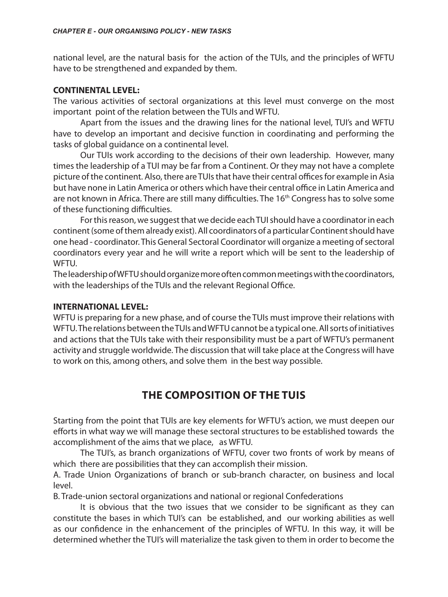national level, are the natural basis for the action of the TUIs, and the principles of WFTU have to be strengthened and expanded by them.

#### **CONTINENTAL LEVEL:**

The various activities of sectoral organizations at this level must converge on the most important point of the relation between the TUIs and WFTU.

Apart from the issues and the drawing lines for the national level, TUI's and WFTU have to develop an important and decisive function in coordinating and performing the tasks of global guidance on a continental level.

Our TUIs work according to the decisions of their own leadership. However, many times the leadership of a TUI may be far from a Continent. Or they may not have a complete picture of the continent. Also, there are TUIs that have their central offices for example in Asia but have none in Latin America or others which have their central office in Latin America and are not known in Africa. There are still many difficulties. The 16<sup>th</sup> Congress has to solve some of these functioning difficulties.

For this reason, we suggest that we decide each TUI should have a coordinator in each continent (some of them already exist). All coordinators of a particular Continent should have one head - coordinator. This General Sectoral Coordinator will organize a meeting of sectoral coordinators every year and he will write a report which will be sent to the leadership of WFTU.

The leadership of WFTU should organize more often common meetings with the coordinators, with the leaderships of the TUIs and the relevant Regional Office.

#### **INTERNATIONAL LEVEL:**

WFTU is preparing for a new phase, and of course the TUIs must improve their relations with WFTU. The relations between the TUIs and WFTU cannot be a typical one. All sorts of initiatives and actions that the TUIs take with their responsibility must be a part of WFTU's permanent activity and struggle worldwide. The discussion that will take place at the Congress will have to work on this, among others, and solve them in the best way possible.

## **The composition of the TUIs**

Starting from the point that TUIs are key elements for WFTU's action, we must deepen our efforts in what way we will manage these sectoral structures to be established towards the accomplishment of the aims that we place, as WFTU.

The TUI's, as branch organizations of WFTU, cover two fronts of work by means of which there are possibilities that they can accomplish their mission.

A. Trade Union Organizations of branch or sub-branch character, on business and local level.

B. Trade-union sectoral organizations and national or regional Confederations

It is obvious that the two issues that we consider to be significant as they can constitute the bases in which TUI's can be established, and our working abilities as well as our confidence in the enhancement of the principles of WFTU. In this way, it will be determined whether the TUI's will materialize the task given to them in order to become the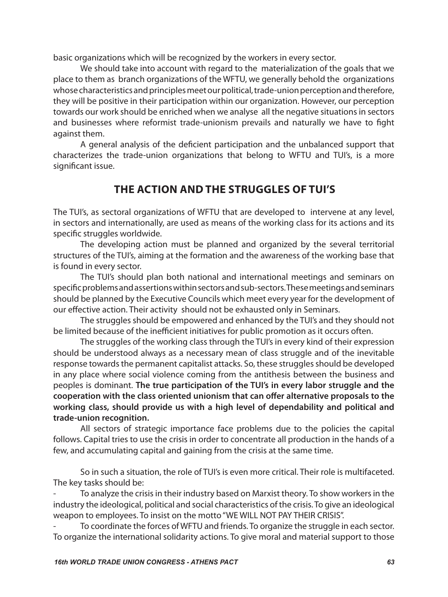basic organizations which will be recognized by the workers in every sector.

We should take into account with regard to the materialization of the goals that we place to them as branch organizations of the WFTU, we generally behold the organizations whose characteristics and principles meet our political, trade-union perception and therefore, they will be positive in their participation within our organization. However, our perception towards our work should be enriched when we analyse all the negative situations in sectors and businesses where reformist trade-unionism prevails and naturally we have to fight against them.

A general analysis of the deficient participation and the unbalanced support that characterizes the trade-union organizations that belong to WFTU and TUI's, is a more significant issue.

## **The action and the struggles of TUI's**

The TUI's, as sectoral organizations of WFTU that are developed to intervene at any level, in sectors and internationally, are used as means of the working class for its actions and its specific struggles worldwide.

The developing action must be planned and organized by the several territorial structures of the TUI's, aiming at the formation and the awareness of the working base that is found in every sector.

The TUI's should plan both national and international meetings and seminars on specific problems and assertions within sectors and sub-sectors. These meetings and seminars should be planned by the Executive Councils which meet every year for the development of our effective action. Their activity should not be exhausted only in Seminars.

The struggles should be empowered and enhanced by the TUI's and they should not be limited because of the inefficient initiatives for public promotion as it occurs often.

The struggles of the working class through the TUI's in every kind of their expression should be understood always as a necessary mean of class struggle and of the inevitable response towards the permanent capitalist attacks. So, these struggles should be developed in any place where social violence coming from the antithesis between the business and peoples is dominant. **The true participation of the TUI's in every labor struggle and the cooperation with the class oriented unionism that can offer alternative proposals to the working class, should provide us with a high level of dependability and political and trade-union recognition.**

All sectors of strategic importance face problems due to the policies the capital follows. Capital tries to use the crisis in order to concentrate all production in the hands of a few, and accumulating capital and gaining from the crisis at the same time.

So in such a situation, the role of TUI's is even more critical. Their role is multifaceted. The key tasks should be:

To analyze the crisis in their industry based on Marxist theory. To show workers in the industry the ideological, political and social characteristics of the crisis. To give an ideological weapon to employees. To insist on the motto "WE WILL NOT PAY THEIR CRISIS".

To coordinate the forces of WFTU and friends. To organize the struggle in each sector. To organize the international solidarity actions. To give moral and material support to those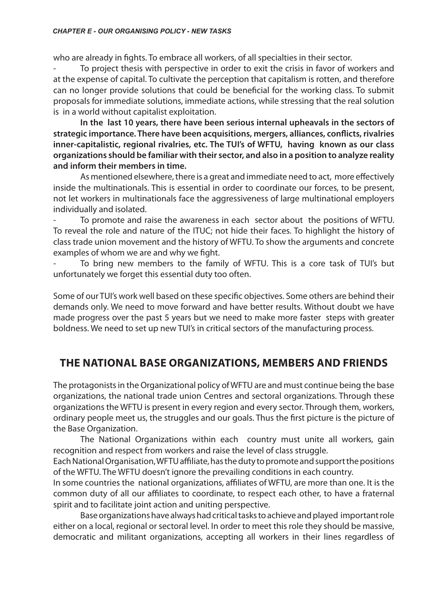#### *Chapter E - Our Organising Policy - New Tasks*

who are already in fights. To embrace all workers, of all specialties in their sector.

To project thesis with perspective in order to exit the crisis in favor of workers and at the expense of capital. To cultivate the perception that capitalism is rotten, and therefore can no longer provide solutions that could be beneficial for the working class. To submit proposals for immediate solutions, immediate actions, while stressing that the real solution is in a world without capitalist exploitation.

**In the last 10 years, there have been serious internal upheavals in the sectors of strategic importance. There have been acquisitions, mergers, alliances, conflicts, rivalries inner-capitalistic, regional rivalries, etc. The TUI's of WFTU, having known as our class organizations should be familiar with their sector, and also in a position to analyze reality and inform their members in time.** 

As mentioned elsewhere, there is a great and immediate need to act, more effectively inside the multinationals. This is essential in order to coordinate our forces, to be present, not let workers in multinationals face the aggressiveness of large multinational employers individually and isolated.

To promote and raise the awareness in each sector about the positions of WFTU. To reveal the role and nature of the ITUC; not hide their faces. To highlight the history of class trade union movement and the history of WFTU. To show the arguments and concrete examples of whom we are and why we fight.

To bring new members to the family of WFTU. This is a core task of TUI's but unfortunately we forget this essential duty too often.

Some of our TUI's work well based on these specific objectives. Some others are behind their demands only. We need to move forward and have better results. Without doubt we have made progress over the past 5 years but we need to make more faster steps with greater boldness. We need to set up new TUI's in critical sectors of the manufacturing process.

#### **The national base organizations, members and friends**

The protagonists in the Organizational policy of WFTU are and must continue being the base organizations, the national trade union Centres and sectoral organizations. Through these organizations the WFTU is present in every region and every sector. Through them, workers, ordinary people meet us, the struggles and our goals. Thus the first picture is the picture of the Base Organization.

The National Organizations within each country must unite all workers, gain recognition and respect from workers and raise the level of class struggle.

Each National Organisation, WFTU affiliate, has the duty to promote and support the positions of the WFTU. The WFTU doesn't ignore the prevailing conditions in each country.

In some countries the national organizations, affiliates of WFTU, are more than one. It is the common duty of all our affiliates to coordinate, to respect each other, to have a fraternal spirit and to facilitate joint action and uniting perspective.

Base organizations have always had critical tasks to achieve and played important role either on a local, regional or sectoral level. In order to meet this role they should be massive, democratic and militant organizations, accepting all workers in their lines regardless of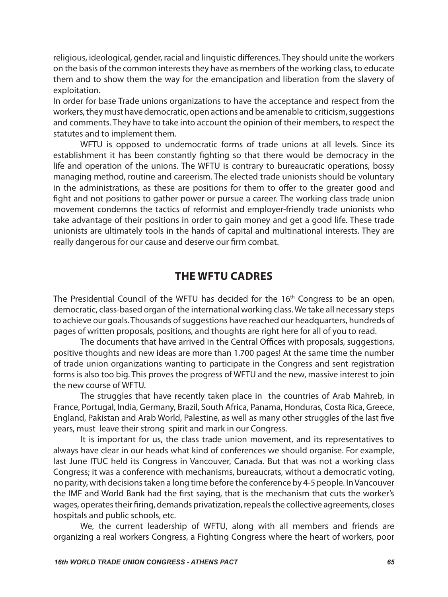religious, ideological, gender, racial and linguistic differences. They should unite the workers on the basis of the common interests they have as members of the working class, to educate them and to show them the way for the emancipation and liberation from the slavery of exploitation.

In order for base Trade unions organizations to have the acceptance and respect from the workers, they must have democratic, open actions and be amenable to criticism, suggestions and comments. They have to take into account the opinion of their members, to respect the statutes and to implement them.

WFTU is opposed to undemocratic forms of trade unions at all levels. Since its establishment it has been constantly fighting so that there would be democracy in the life and operation of the unions. The WFTU is contrary to bureaucratic operations, bossy managing method, routine and careerism. The elected trade unionists should be voluntary in the administrations, as these are positions for them to offer to the greater good and fight and not positions to gather power or pursue a career. The working class trade union movement condemns the tactics of reformist and employer-friendly trade unionists who take advantage of their positions in order to gain money and get a good life. These trade unionists are ultimately tools in the hands of capital and multinational interests. They are really dangerous for our cause and deserve our firm combat.

#### **The WFTU Cadres**

The Presidential Council of the WFTU has decided for the  $16<sup>th</sup>$  Congress to be an open, democratic, class-based organ of the international working class. We take all necessary steps to achieve our goals. Thousands of suggestions have reached our headquarters, hundreds of pages of written proposals, positions, and thoughts are right here for all of you to read.

The documents that have arrived in the Central Offices with proposals, suggestions, positive thoughts and new ideas are more than 1.700 pages! At the same time the number of trade union organizations wanting to participate in the Congress and sent registration forms is also too big. This proves the progress of WFTU and the new, massive interest to join the new course of WFTU.

The struggles that have recently taken place in the countries of Arab Mahreb, in France, Portugal, India, Germany, Brazil, South Africa, Panama, Honduras, Costa Rica, Greece, England, Pakistan and Arab World, Palestine, as well as many other struggles of the last five years, must leave their strong spirit and mark in our Congress.

It is important for us, the class trade union movement, and its representatives to always have clear in our heads what kind of conferences we should organise. For example, last June ITUC held its Congress in Vancouver, Canada. But that was not a working class Congress; it was a conference with mechanisms, bureaucrats, without a democratic voting, no parity, with decisions taken a long time before the conference by 4-5 people. In Vancouver the IMF and World Bank had the first saying, that is the mechanism that cuts the worker's wages, operates their firing, demands privatization, repeals the collective agreements, closes hospitals and public schools, etc.

We, the current leadership of WFTU, along with all members and friends are organizing a real workers Congress, a Fighting Congress where the heart of workers, poor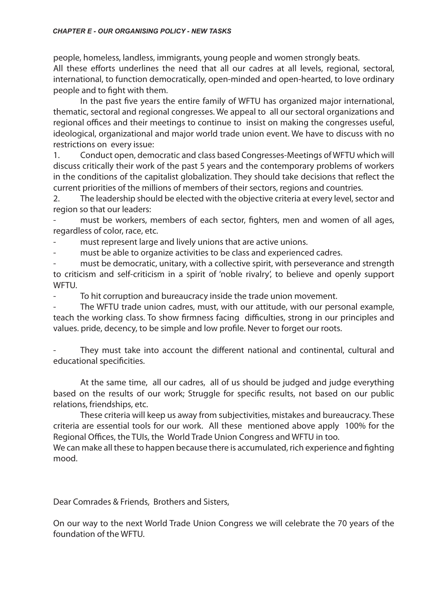people, homeless, landless, immigrants, young people and women strongly beats. All these efforts underlines the need that all our cadres at all levels, regional, sectoral, international, to function democratically, open-minded and open-hearted, to love ordinary people and to fight with them.

In the past five years the entire family of WFTU has organized major international, thematic, sectoral and regional congresses. We appeal to all our sectoral organizations and regional offices and their meetings to continue to insist on making the congresses useful, ideological, organizational and major world trade union event. We have to discuss with no restrictions on every issue:

1. Conduct open, democratic and class based Congresses-Meetings of WFTU which will discuss critically their work of the past 5 years and the contemporary problems of workers in the conditions of the capitalist globalization. They should take decisions that reflect the current priorities of the millions of members of their sectors, regions and countries.

2. The leadership should be elected with the objective criteria at every level, sector and region so that our leaders:

must be workers, members of each sector, fighters, men and women of all ages, regardless of color, race, etc.

must represent large and lively unions that are active unions.

must be able to organize activities to be class and experienced cadres.

must be democratic, unitary, with a collective spirit, with perseverance and strength to criticism and self-criticism in a spirit of 'noble rivalry', to believe and openly support WFTU.

To hit corruption and bureaucracy inside the trade union movement.

The WFTU trade union cadres, must, with our attitude, with our personal example, teach the working class. To show firmness facing difficulties, strong in our principles and values. pride, decency, to be simple and low profile. Never to forget our roots.

They must take into account the different national and continental, cultural and educational specificities.

At the same time, all our cadres, all of us should be judged and judge everything based on the results of our work; Struggle for specific results, not based on our public relations, friendships, etc.

These criteria will keep us away from subjectivities, mistakes and bureaucracy. These criteria are essential tools for our work. All these mentioned above apply 100% for the Regional Offices, the TUIs, the World Trade Union Congress and WFTU in too.

We can make all these to happen because there is accumulated, rich experience and fighting mood.

Dear Comrades & Friends, Brothers and Sisters,

On our way to the next World Trade Union Congress we will celebrate the 70 years of the foundation of the WFTU.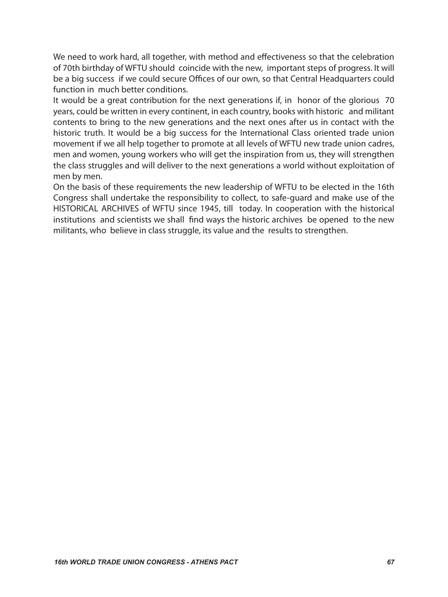We need to work hard, all together, with method and effectiveness so that the celebration of 70th birthday of WFTU should coincide with the new, important steps of progress. It will be a big success if we could secure Offices of our own, so that Central Headquarters could function in much better conditions.

It would be a great contribution for the next generations if, in honor of the glorious 70 years, could be written in every continent, in each country, books with historic and militant contents to bring to the new generations and the next ones after us in contact with the historic truth. It would be a big success for the International Class oriented trade union movement if we all help together to promote at all levels of WFTU new trade union cadres, men and women, young workers who will get the inspiration from us, they will strengthen the class struggles and will deliver to the next generations a world without exploitation of men by men.

On the basis of these requirements the new leadership of WFTU to be elected in the 16th Congress shall undertake the responsibility to collect, to safe-guard and make use of the HISTORICAL ARCHIVES of WFTU since 1945, till today. In cooperation with the historical institutions and scientists we shall find ways the historic archives be opened to the new militants, who believe in class struggle, its value and the results to strengthen.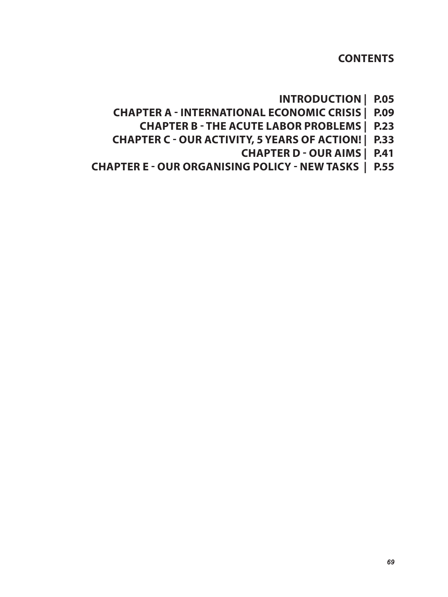**CONTENTS**

- **INTRODUCTION | P.05**
- **chaPter a international economic crisis | p.09** 
	- **chapter b the acute labor problems | p.23**
- **Chapter C Our Activity, 5 Years of Action! | P.33**
	- **chapter d our aims | p.41**
- **Chapter E Our Organising Policy New Tasks | p.55**